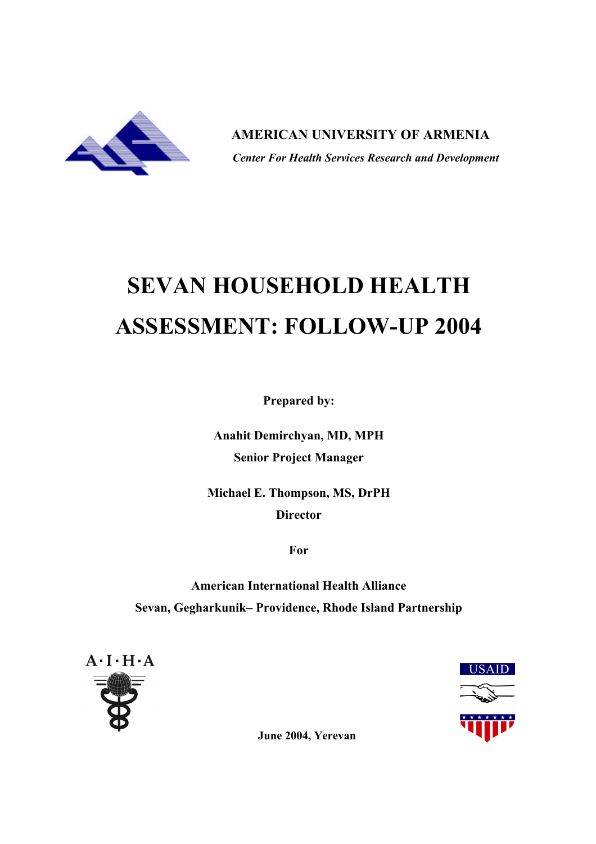

 **AMERICAN UNIVERSITY OF ARMENIA**  *Center For Health Services Research and Development*

# **SEVAN HOUSEHOLD HEALTH ASSESSMENT: FOLLOW-UP 2004**

**Prepared by:**

**Anahit Demirchyan, MD, MPH Senior Project Manager**

**Michael E. Thompson, MS, DrPH Director**

**For**

**American International Health Alliance Sevan, Gegharkunik– Providence, Rhode Island Partnership**





**June 2004, Yerevan**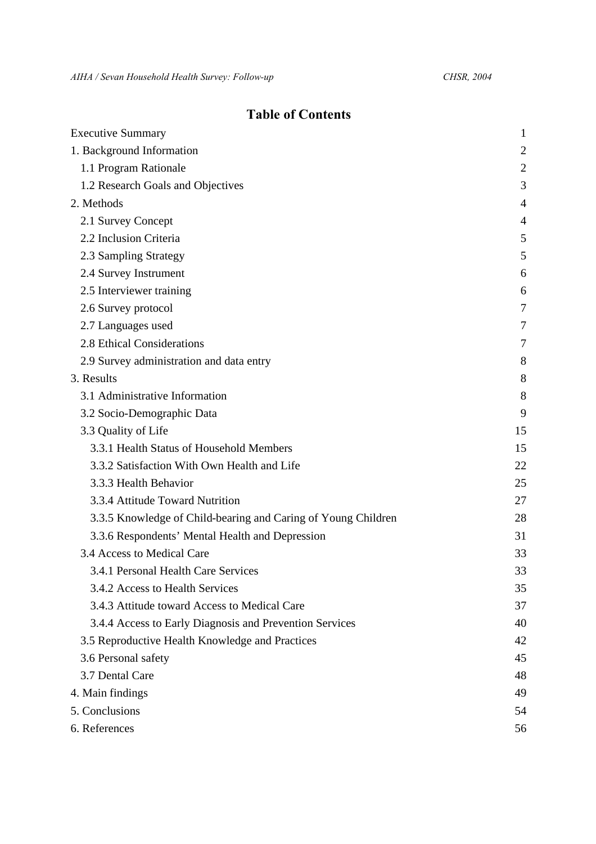# **Table of Contents**

| $\mathbf{1}$   |
|----------------|
| $\overline{2}$ |
| $\overline{2}$ |
| 3              |
| 4              |
| 4              |
| 5              |
| 5              |
| 6              |
| 6              |
| $\tau$         |
| 7              |
| 7              |
| 8              |
| 8              |
| 8              |
| 9              |
| 15             |
| 15             |
| 22             |
| 25             |
| 27             |
| 28             |
| 31             |
| 33             |
| 33             |
| 35             |
| 37             |
| 40             |
| 42             |
| 45             |
| 48             |
| 49             |
| 54             |
| 56             |
|                |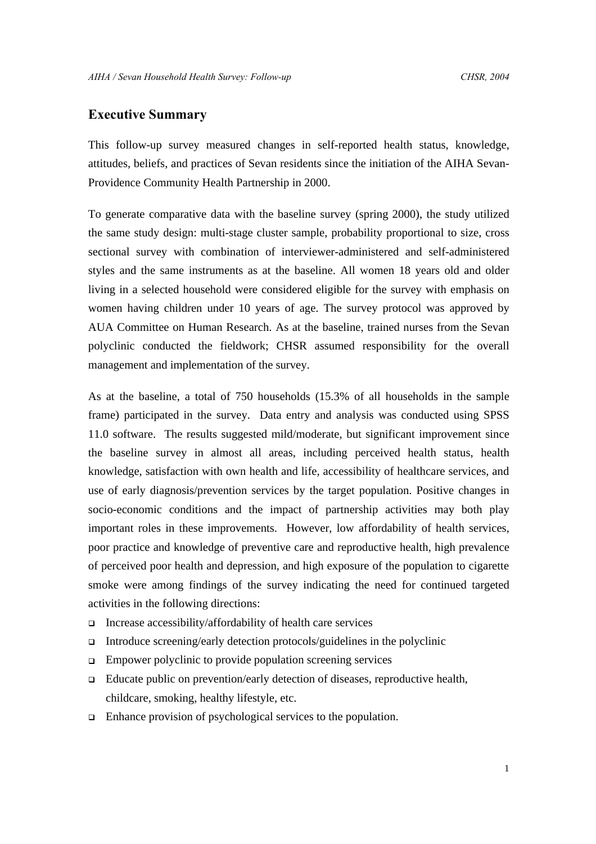# **Executive Summary**

This follow-up survey measured changes in self-reported health status, knowledge, attitudes, beliefs, and practices of Sevan residents since the initiation of the AIHA Sevan-Providence Community Health Partnership in 2000.

To generate comparative data with the baseline survey (spring 2000), the study utilized the same study design: multi-stage cluster sample, probability proportional to size, cross sectional survey with combination of interviewer-administered and self-administered styles and the same instruments as at the baseline. All women 18 years old and older living in a selected household were considered eligible for the survey with emphasis on women having children under 10 years of age. The survey protocol was approved by AUA Committee on Human Research. As at the baseline, trained nurses from the Sevan polyclinic conducted the fieldwork; CHSR assumed responsibility for the overall management and implementation of the survey.

As at the baseline, a total of 750 households (15.3% of all households in the sample frame) participated in the survey. Data entry and analysis was conducted using SPSS 11.0 software. The results suggested mild/moderate, but significant improvement since the baseline survey in almost all areas, including perceived health status, health knowledge, satisfaction with own health and life, accessibility of healthcare services, and use of early diagnosis/prevention services by the target population. Positive changes in socio-economic conditions and the impact of partnership activities may both play important roles in these improvements. However, low affordability of health services, poor practice and knowledge of preventive care and reproductive health, high prevalence of perceived poor health and depression, and high exposure of the population to cigarette smoke were among findings of the survey indicating the need for continued targeted activities in the following directions:

- $\Box$  Increase accessibility/affordability of health care services
- Introduce screening/early detection protocols/guidelines in the polyclinic
- $\Box$  Empower polyclinic to provide population screening services
- □ Educate public on prevention/early detection of diseases, reproductive health, childcare, smoking, healthy lifestyle, etc.
- <sup>q</sup> Enhance provision of psychological services to the population.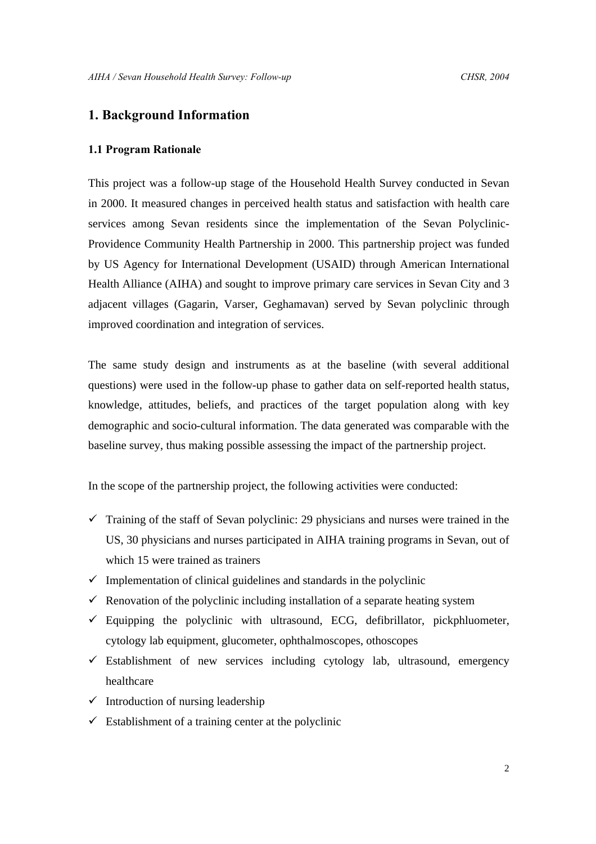# **1. Background Information**

# **1.1 Program Rationale**

This project was a follow-up stage of the Household Health Survey conducted in Sevan in 2000. It measured changes in perceived health status and satisfaction with health care services among Sevan residents since the implementation of the Sevan Polyclinic-Providence Community Health Partnership in 2000. This partnership project was funded by US Agency for International Development (USAID) through American International Health Alliance (AIHA) and sought to improve primary care services in Sevan City and 3 adjacent villages (Gagarin, Varser, Geghamavan) served by Sevan polyclinic through improved coordination and integration of services.

The same study design and instruments as at the baseline (with several additional questions) were used in the follow-up phase to gather data on self-reported health status, knowledge, attitudes, beliefs, and practices of the target population along with key demographic and socio-cultural information. The data generated was comparable with the baseline survey, thus making possible assessing the impact of the partnership project.

In the scope of the partnership project, the following activities were conducted:

- $\checkmark$  Training of the staff of Sevan polyclinic: 29 physicians and nurses were trained in the US, 30 physicians and nurses participated in AIHA training programs in Sevan, out of which 15 were trained as trainers
- $\checkmark$  Implementation of clinical guidelines and standards in the polyclinic
- $\checkmark$  Renovation of the polyclinic including installation of a separate heating system
- $\checkmark$  Equipping the polyclinic with ultrasound, ECG, defibrillator, pickphluometer, cytology lab equipment, glucometer, ophthalmoscopes, othoscopes
- $\checkmark$  Establishment of new services including cytology lab, ultrasound, emergency healthcare
- $\checkmark$  Introduction of nursing leadership
- $\checkmark$  Establishment of a training center at the polyclinic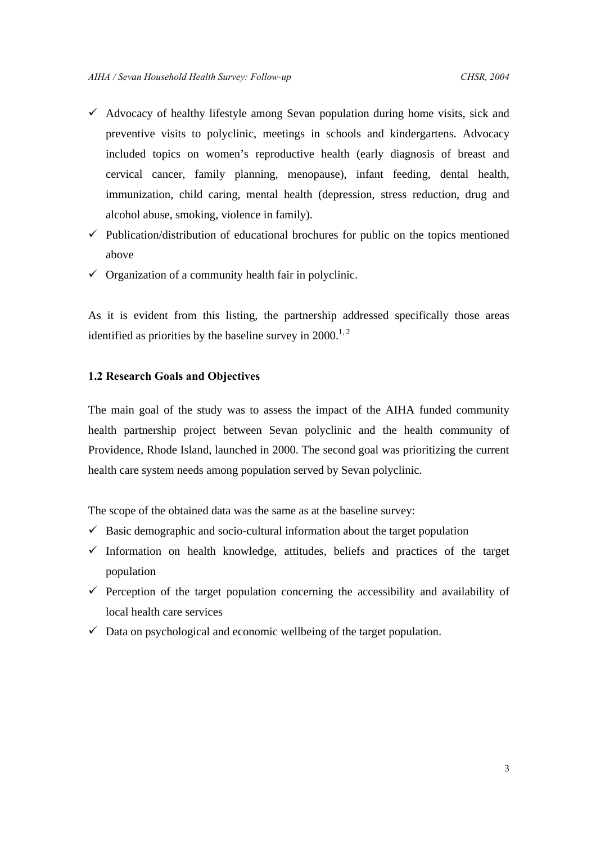- $\checkmark$  Advocacy of healthy lifestyle among Sevan population during home visits, sick and preventive visits to polyclinic, meetings in schools and kindergartens. Advocacy included topics on women's reproductive health (early diagnosis of breast and cervical cancer, family planning, menopause), infant feeding, dental health, immunization, child caring, mental health (depression, stress reduction, drug and alcohol abuse, smoking, violence in family).
- $\checkmark$  Publication/distribution of educational brochures for public on the topics mentioned above
- $\checkmark$  Organization of a community health fair in polyclinic.

As it is evident from this listing, the partnership addressed specifically those areas identified as priorities by the baseline survey in  $2000$ .<sup>1, 2</sup>

#### **1.2 Research Goals and Objectives**

The main goal of the study was to assess the impact of the AIHA funded community health partnership project between Sevan polyclinic and the health community of Providence, Rhode Island, launched in 2000. The second goal was prioritizing the current health care system needs among population served by Sevan polyclinic.

The scope of the obtained data was the same as at the baseline survey:

- $\checkmark$  Basic demographic and socio-cultural information about the target population
- $\checkmark$  Information on health knowledge, attitudes, beliefs and practices of the target population
- $\checkmark$  Perception of the target population concerning the accessibility and availability of local health care services
- $\checkmark$  Data on psychological and economic wellbeing of the target population.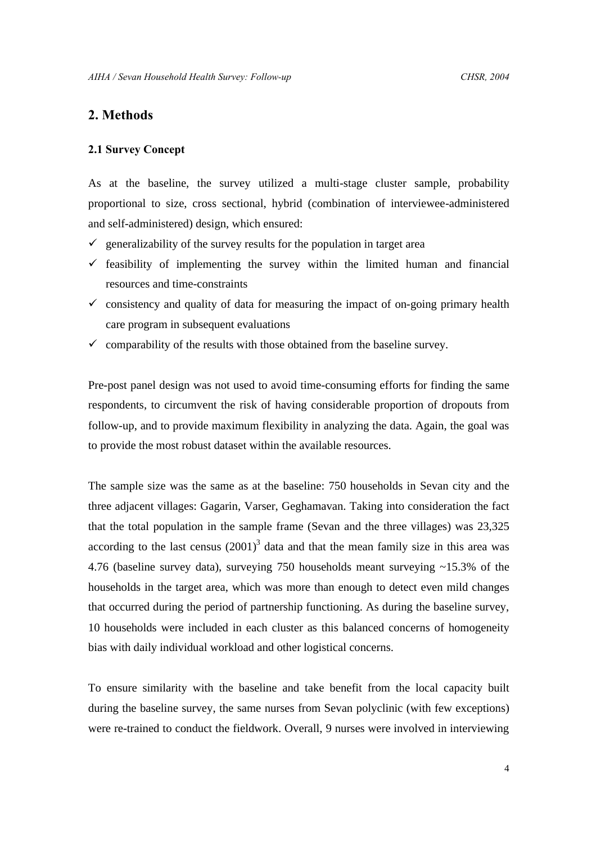# **2. Methods**

# **2.1 Survey Concept**

As at the baseline, the survey utilized a multi-stage cluster sample, probability proportional to size, cross sectional, hybrid (combination of interviewee-administered and self-administered) design, which ensured:

- $\checkmark$  generalizability of the survey results for the population in target area
- $\checkmark$  feasibility of implementing the survey within the limited human and financial resources and time-constraints
- $\checkmark$  consistency and quality of data for measuring the impact of on-going primary health care program in subsequent evaluations
- $\checkmark$  comparability of the results with those obtained from the baseline survey.

Pre-post panel design was not used to avoid time-consuming efforts for finding the same respondents, to circumvent the risk of having considerable proportion of dropouts from follow-up, and to provide maximum flexibility in analyzing the data. Again, the goal was to provide the most robust dataset within the available resources.

The sample size was the same as at the baseline: 750 households in Sevan city and the three adjacent villages: Gagarin, Varser, Geghamavan. Taking into consideration the fact that the total population in the sample frame (Sevan and the three villages) was 23,325 according to the last census  $(2001)^3$  data and that the mean family size in this area was 4.76 (baseline survey data), surveying 750 households meant surveying ~15.3% of the households in the target area, which was more than enough to detect even mild changes that occurred during the period of partnership functioning. As during the baseline survey, 10 households were included in each cluster as this balanced concerns of homogeneity bias with daily individual workload and other logistical concerns.

To ensure similarity with the baseline and take benefit from the local capacity built during the baseline survey, the same nurses from Sevan polyclinic (with few exceptions) were re-trained to conduct the fieldwork. Overall, 9 nurses were involved in interviewing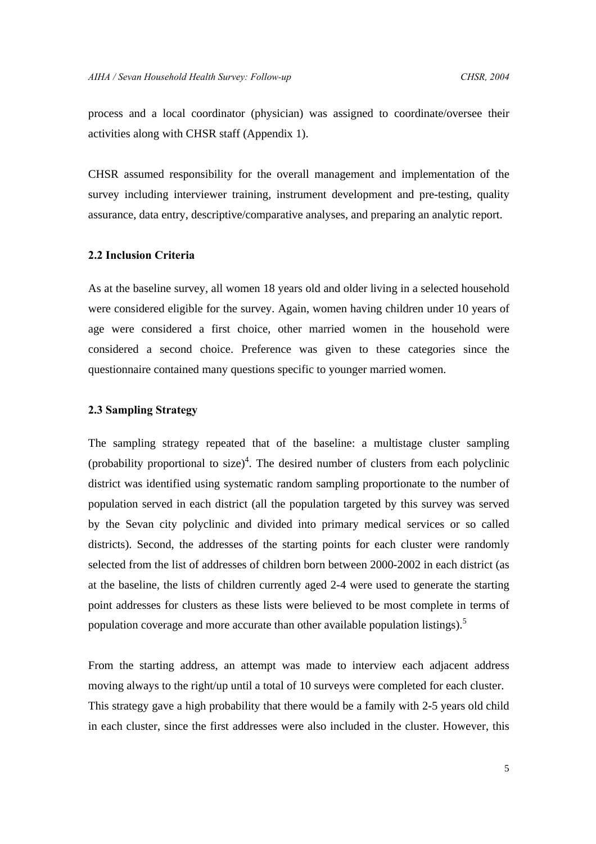process and a local coordinator (physician) was assigned to coordinate/oversee their activities along with CHSR staff (Appendix 1).

CHSR assumed responsibility for the overall management and implementation of the survey including interviewer training, instrument development and pre-testing, quality assurance, data entry, descriptive/comparative analyses, and preparing an analytic report.

# **2.2 Inclusion Criteria**

As at the baseline survey, all women 18 years old and older living in a selected household were considered eligible for the survey. Again, women having children under 10 years of age were considered a first choice, other married women in the household were considered a second choice. Preference was given to these categories since the questionnaire contained many questions specific to younger married women.

# **2.3 Sampling Strategy**

The sampling strategy repeated that of the baseline: a multistage cluster sampling (probability proportional to size)<sup>4</sup>. The desired number of clusters from each polyclinic district was identified using systematic random sampling proportionate to the number of population served in each district (all the population targeted by this survey was served by the Sevan city polyclinic and divided into primary medical services or so called districts). Second, the addresses of the starting points for each cluster were randomly selected from the list of addresses of children born between 2000-2002 in each district (as at the baseline, the lists of children currently aged 2-4 were used to generate the starting point addresses for clusters as these lists were believed to be most complete in terms of population coverage and more accurate than other available population listings).<sup>5</sup>

From the starting address, an attempt was made to interview each adjacent address moving always to the right/up until a total of 10 surveys were completed for each cluster. This strategy gave a high probability that there would be a family with 2-5 years old child in each cluster, since the first addresses were also included in the cluster. However, this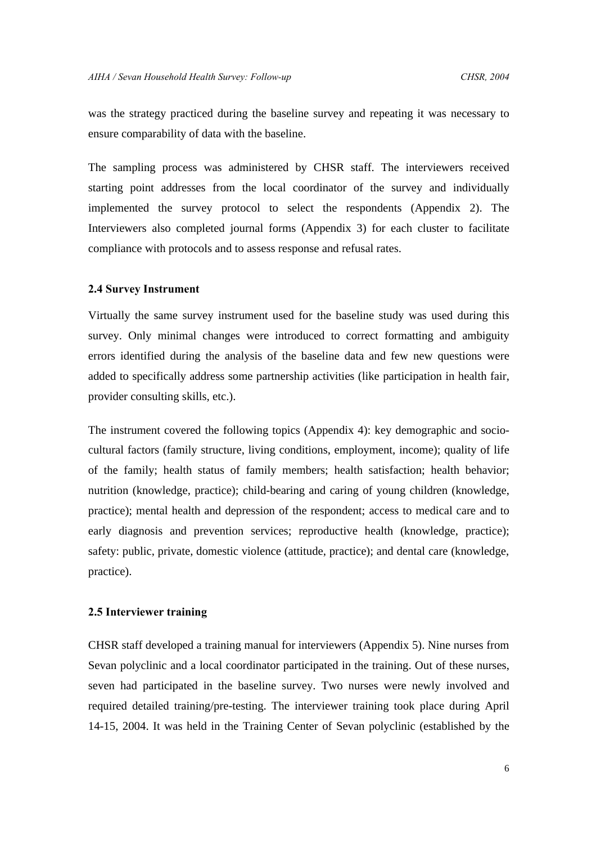was the strategy practiced during the baseline survey and repeating it was necessary to ensure comparability of data with the baseline.

The sampling process was administered by CHSR staff. The interviewers received starting point addresses from the local coordinator of the survey and individually implemented the survey protocol to select the respondents (Appendix 2). The Interviewers also completed journal forms (Appendix 3) for each cluster to facilitate compliance with protocols and to assess response and refusal rates.

#### **2.4 Survey Instrument**

Virtually the same survey instrument used for the baseline study was used during this survey. Only minimal changes were introduced to correct formatting and ambiguity errors identified during the analysis of the baseline data and few new questions were added to specifically address some partnership activities (like participation in health fair, provider consulting skills, etc.).

The instrument covered the following topics (Appendix 4): key demographic and sociocultural factors (family structure, living conditions, employment, income); quality of life of the family; health status of family members; health satisfaction; health behavior; nutrition (knowledge, practice); child-bearing and caring of young children (knowledge, practice); mental health and depression of the respondent; access to medical care and to early diagnosis and prevention services; reproductive health (knowledge, practice); safety: public, private, domestic violence (attitude, practice); and dental care (knowledge, practice).

# **2.5 Interviewer training**

CHSR staff developed a training manual for interviewers (Appendix 5). Nine nurses from Sevan polyclinic and a local coordinator participated in the training. Out of these nurses, seven had participated in the baseline survey. Two nurses were newly involved and required detailed training/pre-testing. The interviewer training took place during April 14-15, 2004. It was held in the Training Center of Sevan polyclinic (established by the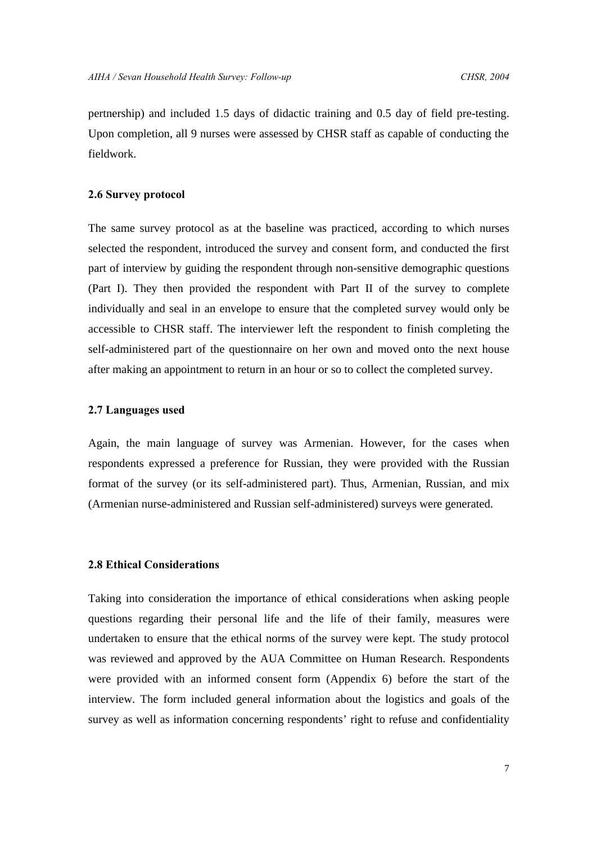pertnership) and included 1.5 days of didactic training and 0.5 day of field pre-testing. Upon completion, all 9 nurses were assessed by CHSR staff as capable of conducting the fieldwork.

# **2.6 Survey protocol**

The same survey protocol as at the baseline was practiced, according to which nurses selected the respondent, introduced the survey and consent form, and conducted the first part of interview by guiding the respondent through non-sensitive demographic questions (Part I). They then provided the respondent with Part II of the survey to complete individually and seal in an envelope to ensure that the completed survey would only be accessible to CHSR staff. The interviewer left the respondent to finish completing the self-administered part of the questionnaire on her own and moved onto the next house after making an appointment to return in an hour or so to collect the completed survey.

# **2.7 Languages used**

Again, the main language of survey was Armenian. However, for the cases when respondents expressed a preference for Russian, they were provided with the Russian format of the survey (or its self-administered part). Thus, Armenian, Russian, and mix (Armenian nurse-administered and Russian self-administered) surveys were generated.

# **2.8 Ethical Considerations**

Taking into consideration the importance of ethical considerations when asking people questions regarding their personal life and the life of their family, measures were undertaken to ensure that the ethical norms of the survey were kept. The study protocol was reviewed and approved by the AUA Committee on Human Research. Respondents were provided with an informed consent form (Appendix 6) before the start of the interview. The form included general information about the logistics and goals of the survey as well as information concerning respondents' right to refuse and confidentiality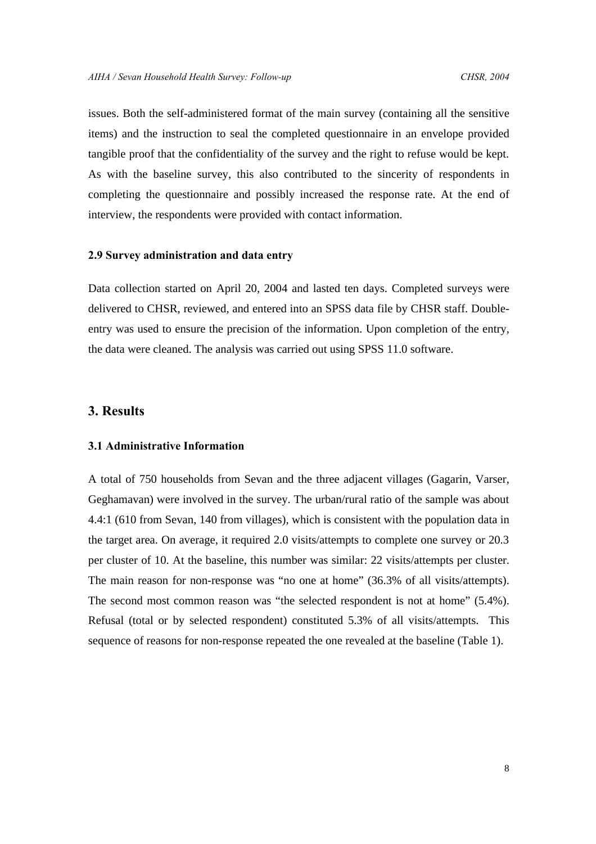issues. Both the self-administered format of the main survey (containing all the sensitive items) and the instruction to seal the completed questionnaire in an envelope provided tangible proof that the confidentiality of the survey and the right to refuse would be kept. As with the baseline survey, this also contributed to the sincerity of respondents in completing the questionnaire and possibly increased the response rate. At the end of interview, the respondents were provided with contact information.

#### **2.9 Survey administration and data entry**

Data collection started on April 20, 2004 and lasted ten days. Completed surveys were delivered to CHSR, reviewed, and entered into an SPSS data file by CHSR staff. Doubleentry was used to ensure the precision of the information. Upon completion of the entry, the data were cleaned. The analysis was carried out using SPSS 11.0 software.

# **3. Results**

#### **3.1 Administrative Information**

A total of 750 households from Sevan and the three adjacent villages (Gagarin, Varser, Geghamavan) were involved in the survey. The urban/rural ratio of the sample was about 4.4:1 (610 from Sevan, 140 from villages), which is consistent with the population data in the target area. On average, it required 2.0 visits/attempts to complete one survey or 20.3 per cluster of 10. At the baseline, this number was similar: 22 visits/attempts per cluster. The main reason for non-response was "no one at home" (36.3% of all visits/attempts). The second most common reason was "the selected respondent is not at home" (5.4%). Refusal (total or by selected respondent) constituted 5.3% of all visits/attempts. This sequence of reasons for non-response repeated the one revealed at the baseline (Table 1).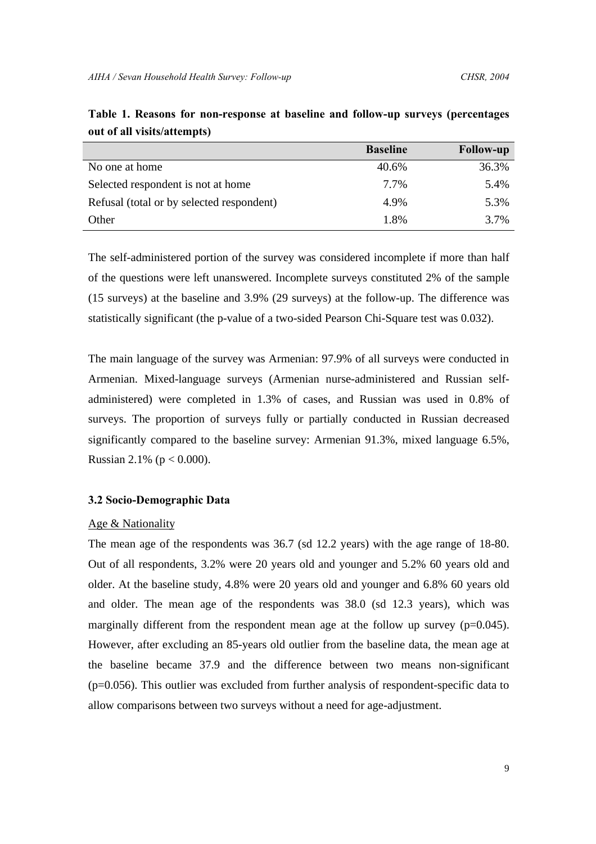|                                           | <b>Baseline</b> | <b>Follow-up</b> |
|-------------------------------------------|-----------------|------------------|
| No one at home                            | 40.6%           | 36.3%            |
| Selected respondent is not at home        | 7.7%            | 5.4%             |
| Refusal (total or by selected respondent) | 4.9%            | 5.3%             |
| Other                                     | 1.8%            | 3.7%             |

**Table 1. Reasons for non-response at baseline and follow-up surveys (percentages out of all visits/attempts)**

The self-administered portion of the survey was considered incomplete if more than half of the questions were left unanswered. Incomplete surveys constituted 2% of the sample (15 surveys) at the baseline and 3.9% (29 surveys) at the follow-up. The difference was statistically significant (the p-value of a two-sided Pearson Chi-Square test was 0.032).

The main language of the survey was Armenian: 97.9% of all surveys were conducted in Armenian. Mixed-language surveys (Armenian nurse-administered and Russian selfadministered) were completed in 1.3% of cases, and Russian was used in 0.8% of surveys. The proportion of surveys fully or partially conducted in Russian decreased significantly compared to the baseline survey: Armenian 91.3%, mixed language 6.5%, Russian 2.1% ( $p < 0.000$ ).

# **3.2 Socio-Demographic Data**

#### Age & Nationality

The mean age of the respondents was 36.7 (sd 12.2 years) with the age range of 18-80. Out of all respondents, 3.2% were 20 years old and younger and 5.2% 60 years old and older. At the baseline study, 4.8% were 20 years old and younger and 6.8% 60 years old and older. The mean age of the respondents was 38.0 (sd 12.3 years), which was marginally different from the respondent mean age at the follow up survey  $(p=0.045)$ . However, after excluding an 85-years old outlier from the baseline data, the mean age at the baseline became 37.9 and the difference between two means non-significant (p=0.056). This outlier was excluded from further analysis of respondent-specific data to allow comparisons between two surveys without a need for age-adjustment.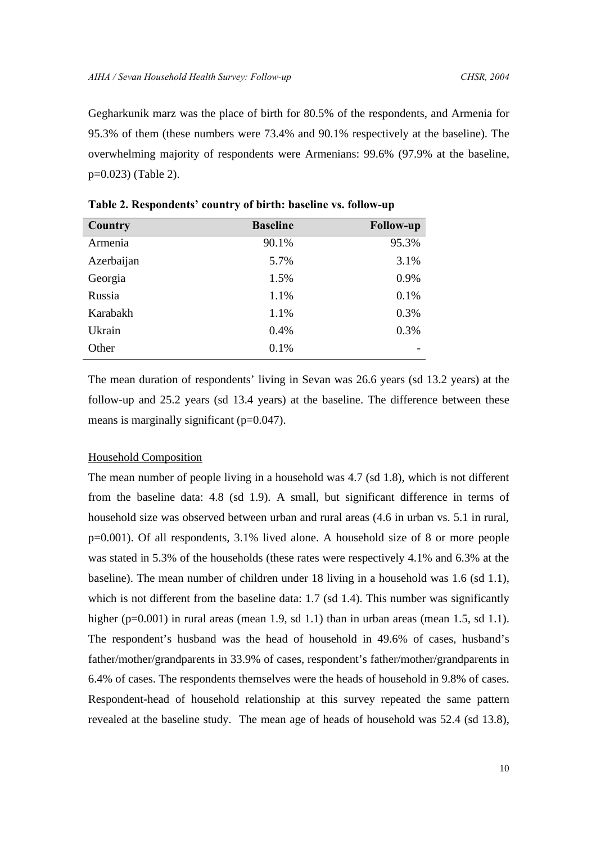Gegharkunik marz was the place of birth for 80.5% of the respondents, and Armenia for 95.3% of them (these numbers were 73.4% and 90.1% respectively at the baseline). The overwhelming majority of respondents were Armenians: 99.6% (97.9% at the baseline, p=0.023) (Table 2).

| <b>Country</b> | <b>Baseline</b> | <b>Follow-up</b> |
|----------------|-----------------|------------------|
| Armenia        | 90.1%           | 95.3%            |
| Azerbaijan     | 5.7%            | 3.1%             |
| Georgia        | 1.5%            | 0.9%             |
| Russia         | 1.1%            | 0.1%             |
| Karabakh       | 1.1%            | 0.3%             |
| Ukrain         | 0.4%            | 0.3%             |
| Other          | 0.1%            |                  |

**Table 2. Respondents' country of birth: baseline vs. follow-up**

The mean duration of respondents' living in Sevan was 26.6 years (sd 13.2 years) at the follow-up and 25.2 years (sd 13.4 years) at the baseline. The difference between these means is marginally significant (p=0.047).

#### Household Composition

The mean number of people living in a household was 4.7 (sd 1.8), which is not different from the baseline data: 4.8 (sd 1.9). A small, but significant difference in terms of household size was observed between urban and rural areas (4.6 in urban vs. 5.1 in rural, p=0.001). Of all respondents, 3.1% lived alone. A household size of 8 or more people was stated in 5.3% of the households (these rates were respectively 4.1% and 6.3% at the baseline). The mean number of children under 18 living in a household was 1.6 (sd 1.1), which is not different from the baseline data: 1.7 (sd 1.4). This number was significantly higher (p=0.001) in rural areas (mean 1.9, sd 1.1) than in urban areas (mean 1.5, sd 1.1). The respondent's husband was the head of household in 49.6% of cases, husband's father/mother/grandparents in 33.9% of cases, respondent's father/mother/grandparents in 6.4% of cases. The respondents themselves were the heads of household in 9.8% of cases. Respondent-head of household relationship at this survey repeated the same pattern revealed at the baseline study. The mean age of heads of household was 52.4 (sd 13.8),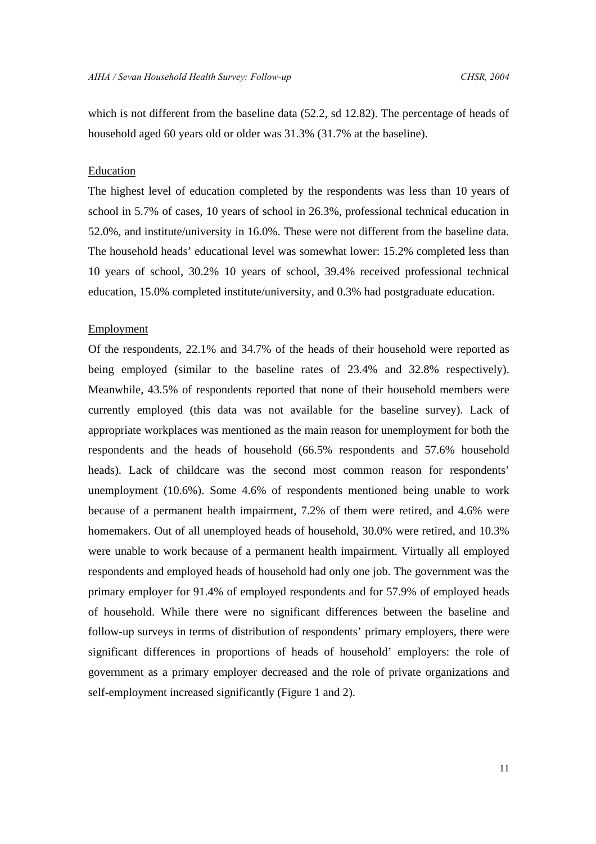which is not different from the baseline data (52.2, sd 12.82). The percentage of heads of household aged 60 years old or older was 31.3% (31.7% at the baseline).

# Education

The highest level of education completed by the respondents was less than 10 years of school in 5.7% of cases, 10 years of school in 26.3%, professional technical education in 52.0%, and institute/university in 16.0%. These were not different from the baseline data. The household heads' educational level was somewhat lower: 15.2% completed less than 10 years of school, 30.2% 10 years of school, 39.4% received professional technical education, 15.0% completed institute/university, and 0.3% had postgraduate education.

#### Employment

Of the respondents, 22.1% and 34.7% of the heads of their household were reported as being employed (similar to the baseline rates of 23.4% and 32.8% respectively). Meanwhile, 43.5% of respondents reported that none of their household members were currently employed (this data was not available for the baseline survey). Lack of appropriate workplaces was mentioned as the main reason for unemployment for both the respondents and the heads of household (66.5% respondents and 57.6% household heads). Lack of childcare was the second most common reason for respondents' unemployment (10.6%). Some 4.6% of respondents mentioned being unable to work because of a permanent health impairment, 7.2% of them were retired, and 4.6% were homemakers. Out of all unemployed heads of household, 30.0% were retired, and 10.3% were unable to work because of a permanent health impairment. Virtually all employed respondents and employed heads of household had only one job. The government was the primary employer for 91.4% of employed respondents and for 57.9% of employed heads of household. While there were no significant differences between the baseline and follow-up surveys in terms of distribution of respondents' primary employers, there were significant differences in proportions of heads of household' employers: the role of government as a primary employer decreased and the role of private organizations and self-employment increased significantly (Figure 1 and 2).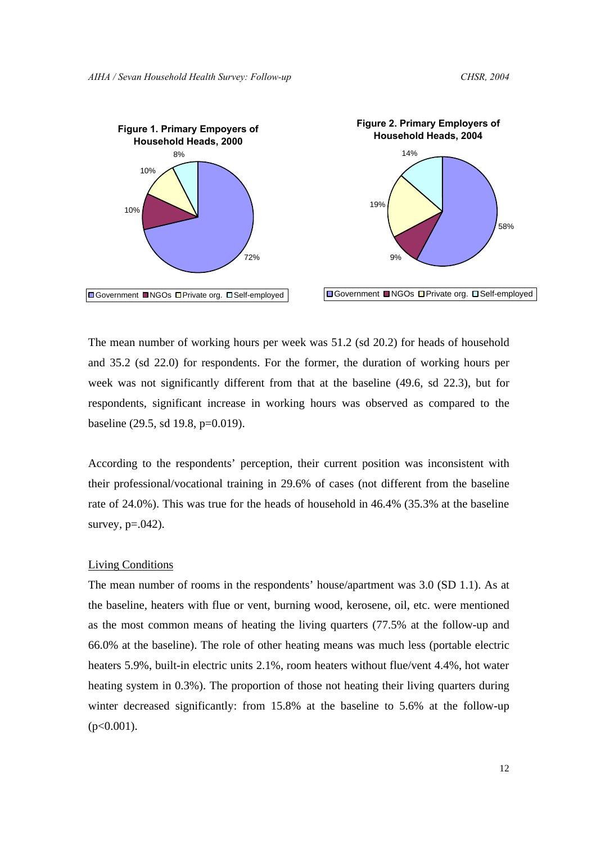



The mean number of working hours per week was 51.2 (sd 20.2) for heads of household and 35.2 (sd 22.0) for respondents. For the former, the duration of working hours per week was not significantly different from that at the baseline (49.6, sd 22.3), but for respondents, significant increase in working hours was observed as compared to the

baseline (29.5, sd 19.8, p=0.019).

According to the respondents' perception, their current position was inconsistent with their professional/vocational training in 29.6% of cases (not different from the baseline rate of 24.0%). This was true for the heads of household in 46.4% (35.3% at the baseline survey, p=.042).

# Living Conditions

The mean number of rooms in the respondents' house/apartment was 3.0 (SD 1.1). As at the baseline, heaters with flue or vent, burning wood, kerosene, oil, etc. were mentioned as the most common means of heating the living quarters (77.5% at the follow-up and 66.0% at the baseline). The role of other heating means was much less (portable electric heaters 5.9%, built-in electric units 2.1%, room heaters without flue/vent 4.4%, hot water heating system in 0.3%). The proportion of those not heating their living quarters during winter decreased significantly: from 15.8% at the baseline to 5.6% at the follow-up  $(p<0.001)$ .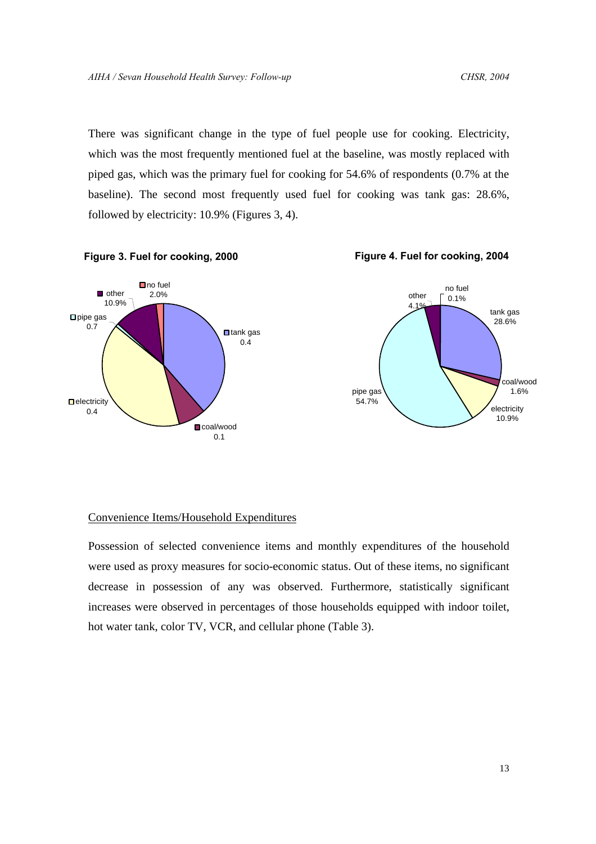There was significant change in the type of fuel people use for cooking. Electricity, which was the most frequently mentioned fuel at the baseline, was mostly replaced with piped gas, which was the primary fuel for cooking for 54.6% of respondents (0.7% at the baseline). The second most frequently used fuel for cooking was tank gas: 28.6%, followed by electricity: 10.9% (Figures 3, 4).



# Convenience Items/Household Expenditures

Possession of selected convenience items and monthly expenditures of the household were used as proxy measures for socio-economic status. Out of these items, no significant decrease in possession of any was observed. Furthermore, statistically significant increases were observed in percentages of those households equipped with indoor toilet, hot water tank, color TV, VCR, and cellular phone (Table 3).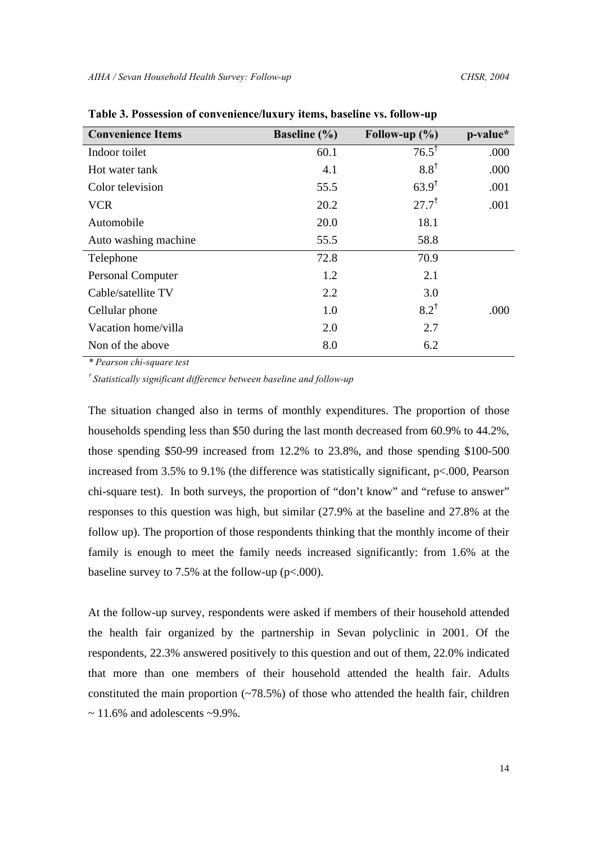| <b>Convenience Items</b> | <b>Baseline</b> (%) | Follow-up $(\% )$ | p-value* |
|--------------------------|---------------------|-------------------|----------|
| Indoor toilet            | 60.1                | $76.5^{\dagger}$  | .000     |
| Hot water tank           | 4.1                 | $8.8^{\dagger}$   | .000     |
| Color television         | 55.5                | $63.9^{\dagger}$  | .001     |
| <b>VCR</b>               | 20.2                | $27.7^{\dagger}$  | .001     |
| Automobile               | 20.0                | 18.1              |          |
| Auto washing machine     | 55.5                | 58.8              |          |
| Telephone                | 72.8                | 70.9              |          |
| <b>Personal Computer</b> | 1.2                 | 2.1               |          |
| Cable/satellite TV       | 2.2                 | 3.0               |          |
| Cellular phone           | 1.0                 | $8.2^{\dagger}$   | .000     |
| Vacation home/villa      | 2.0                 | 2.7               |          |
| Non of the above         | 8.0                 | 6.2               |          |

**Table 3. Possession of convenience/luxury items, baseline vs. follow-up**

*\* Pearson chi-square test*

*† Statistically significant difference between baseline and follow-up*

The situation changed also in terms of monthly expenditures. The proportion of those households spending less than \$50 during the last month decreased from 60.9% to 44.2%, those spending \$50-99 increased from 12.2% to 23.8%, and those spending \$100-500 increased from 3.5% to 9.1% (the difference was statistically significant, p<.000, Pearson chi-square test). In both surveys, the proportion of "don't know" and "refuse to answer" responses to this question was high, but similar (27.9% at the baseline and 27.8% at the follow up). The proportion of those respondents thinking that the monthly income of their family is enough to meet the family needs increased significantly: from 1.6% at the baseline survey to 7.5% at the follow-up (p<.000).

At the follow-up survey, respondents were asked if members of their household attended the health fair organized by the partnership in Sevan polyclinic in 2001. Of the respondents, 22.3% answered positively to this question and out of them, 22.0% indicated that more than one members of their household attended the health fair. Adults constituted the main proportion  $(-78.5%)$  of those who attended the health fair, children  $\sim$  11.6% and adolescents  $\sim$ 9.9%.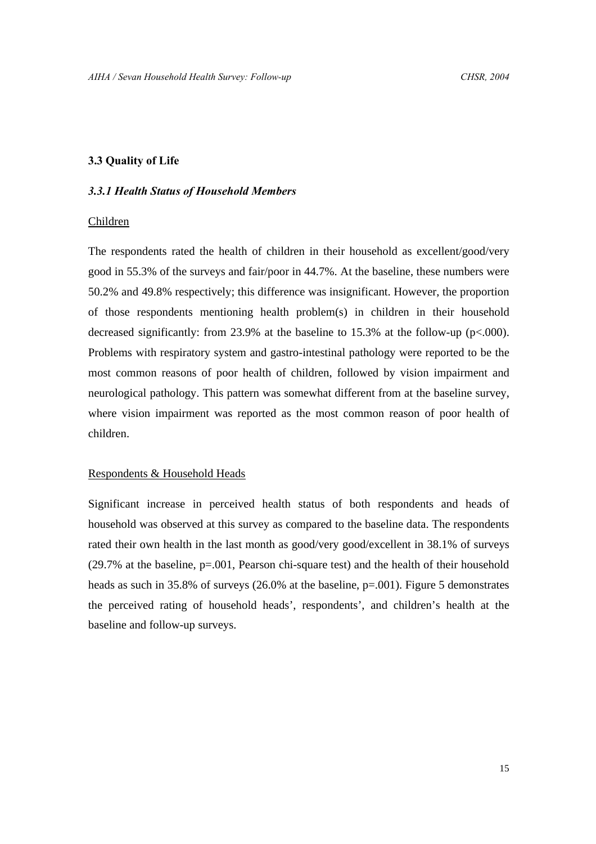# **3.3 Quality of Life**

# *3.3.1 Health Status of Household Members*

#### Children

The respondents rated the health of children in their household as excellent/good/very good in 55.3% of the surveys and fair/poor in 44.7%. At the baseline, these numbers were 50.2% and 49.8% respectively; this difference was insignificant. However, the proportion of those respondents mentioning health problem(s) in children in their household decreased significantly: from 23.9% at the baseline to 15.3% at the follow-up (p<.000). Problems with respiratory system and gastro-intestinal pathology were reported to be the most common reasons of poor health of children, followed by vision impairment and neurological pathology. This pattern was somewhat different from at the baseline survey, where vision impairment was reported as the most common reason of poor health of children.

#### Respondents & Household Heads

Significant increase in perceived health status of both respondents and heads of household was observed at this survey as compared to the baseline data. The respondents rated their own health in the last month as good/very good/excellent in 38.1% of surveys (29.7% at the baseline, p=.001, Pearson chi-square test) and the health of their household heads as such in 35.8% of surveys (26.0% at the baseline, p=.001). Figure 5 demonstrates the perceived rating of household heads', respondents', and children's health at the baseline and follow-up surveys.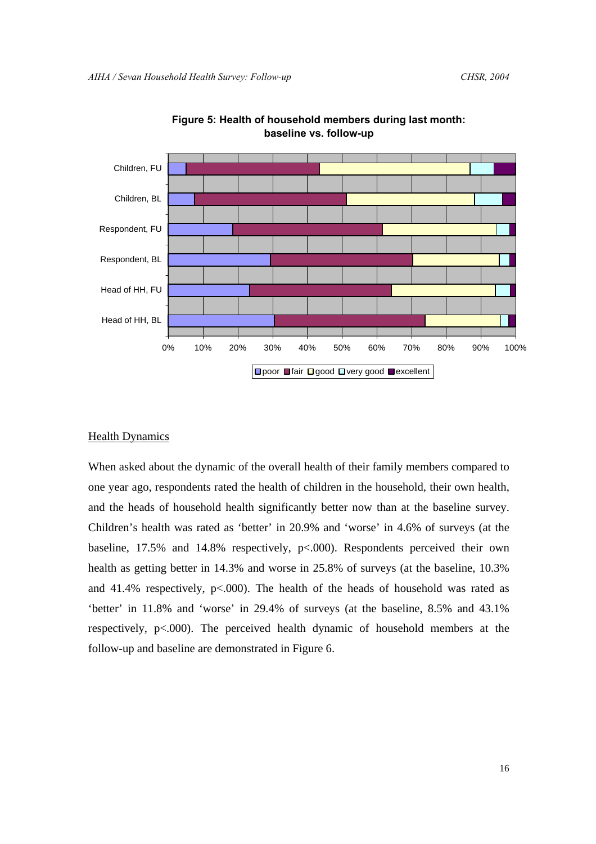

**Figure 5: Health of household members during last month: baseline vs. follow-up**

# Health Dynamics

When asked about the dynamic of the overall health of their family members compared to one year ago, respondents rated the health of children in the household, their own health, and the heads of household health significantly better now than at the baseline survey. Children's health was rated as 'better' in 20.9% and 'worse' in 4.6% of surveys (at the baseline, 17.5% and 14.8% respectively, p<.000). Respondents perceived their own health as getting better in 14.3% and worse in 25.8% of surveys (at the baseline, 10.3%) and 41.4% respectively,  $p<.000$ ). The health of the heads of household was rated as 'better' in 11.8% and 'worse' in 29.4% of surveys (at the baseline, 8.5% and 43.1% respectively, p<.000). The perceived health dynamic of household members at the follow-up and baseline are demonstrated in Figure 6.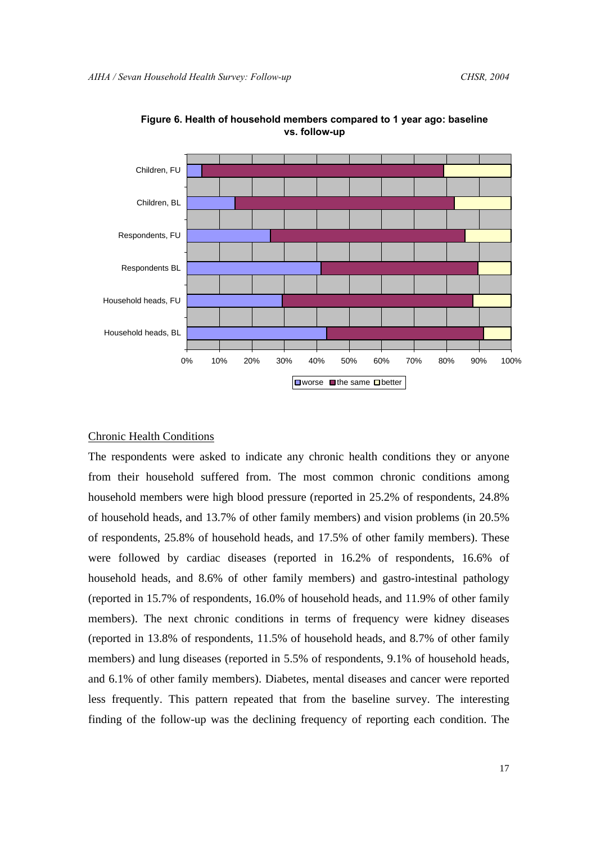

**Figure 6. Health of household members compared to 1 year ago: baseline vs. follow-up**

# Chronic Health Conditions

The respondents were asked to indicate any chronic health conditions they or anyone from their household suffered from. The most common chronic conditions among household members were high blood pressure (reported in 25.2% of respondents, 24.8% of household heads, and 13.7% of other family members) and vision problems (in 20.5% of respondents, 25.8% of household heads, and 17.5% of other family members). These were followed by cardiac diseases (reported in 16.2% of respondents, 16.6% of household heads, and 8.6% of other family members) and gastro-intestinal pathology (reported in 15.7% of respondents, 16.0% of household heads, and 11.9% of other family members). The next chronic conditions in terms of frequency were kidney diseases (reported in 13.8% of respondents, 11.5% of household heads, and 8.7% of other family members) and lung diseases (reported in 5.5% of respondents, 9.1% of household heads, and 6.1% of other family members). Diabetes, mental diseases and cancer were reported less frequently. This pattern repeated that from the baseline survey. The interesting finding of the follow-up was the declining frequency of reporting each condition. The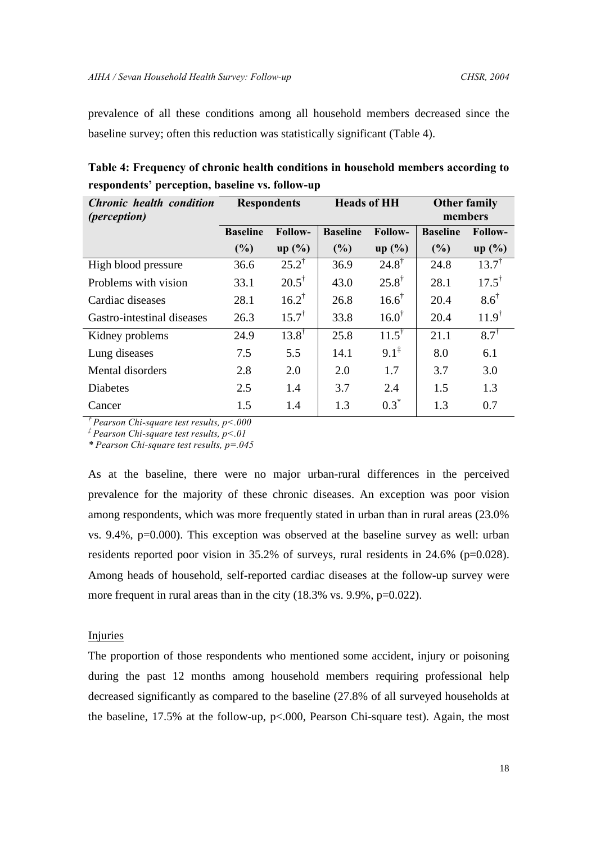prevalence of all these conditions among all household members decreased since the baseline survey; often this reduction was statistically significant (Table 4).

| <b>Chronic health condition</b> |                 | <b>Heads of HH</b><br><b>Respondents</b> |                 |                  | <b>Other family</b> |                  |  |
|---------------------------------|-----------------|------------------------------------------|-----------------|------------------|---------------------|------------------|--|
| <i>(perception)</i>             |                 |                                          |                 |                  | members             |                  |  |
|                                 | <b>Baseline</b> | Follow-                                  | <b>Baseline</b> | <b>Follow-</b>   | <b>Baseline</b>     | <b>Follow-</b>   |  |
|                                 | $(\%)$          | $up($ %)                                 | (%)             | $up($ %)         | (%)                 | $up($ %)         |  |
| High blood pressure             | 36.6            | $25.2^{\dagger}$                         | 36.9            | $24.8^{\dagger}$ | 24.8                | $13.7^{\dagger}$ |  |
| Problems with vision            | 33.1            | $20.5^{\dagger}$                         | 43.0            | $25.8^{\dagger}$ | 28.1                | $17.5^{\dagger}$ |  |
| Cardiac diseases                | 28.1            | $16.2^{\dagger}$                         | 26.8            | $16.6^{\dagger}$ | 20.4                | $8.6^{\dagger}$  |  |
| Gastro-intestinal diseases      | 26.3            | $15.7^{\dagger}$                         | 33.8            | $16.0^{\dagger}$ | 20.4                | $11.9^{\dagger}$ |  |
| Kidney problems                 | 24.9            | $13.8^{\dagger}$                         | 25.8            | $11.5^{\dagger}$ | 21.1                | $8.7^{\dagger}$  |  |
| Lung diseases                   | 7.5             | 5.5                                      | 14.1            | $9.1^{\ddagger}$ | 8.0                 | 6.1              |  |
| Mental disorders                | 2.8             | 2.0                                      | 2.0             | 1.7              | 3.7                 | 3.0              |  |
| <b>Diabetes</b>                 | 2.5             | 1.4                                      | 3.7             | 2.4              | 1.5                 | 1.3              |  |
| Cancer                          | 1.5             | 1.4                                      | 1.3             | $0.3^*$          | 1.3                 | 0.7              |  |

**Table 4: Frequency of chronic health conditions in household members according to respondents' perception, baseline vs. follow-up** 

*† Pearson Chi-square test results, p<.000*

*‡ Pearson Chi-square test results, p<.01*

*\* Pearson Chi-square test results, p=.045*

As at the baseline, there were no major urban-rural differences in the perceived prevalence for the majority of these chronic diseases. An exception was poor vision among respondents, which was more frequently stated in urban than in rural areas (23.0% vs. 9.4%, p=0.000). This exception was observed at the baseline survey as well: urban residents reported poor vision in 35.2% of surveys, rural residents in 24.6% (p=0.028). Among heads of household, self-reported cardiac diseases at the follow-up survey were more frequent in rural areas than in the city (18.3% vs. 9.9%, p=0.022).

# Injuries

The proportion of those respondents who mentioned some accident, injury or poisoning during the past 12 months among household members requiring professional help decreased significantly as compared to the baseline (27.8% of all surveyed households at the baseline, 17.5% at the follow-up, p<.000, Pearson Chi-square test). Again, the most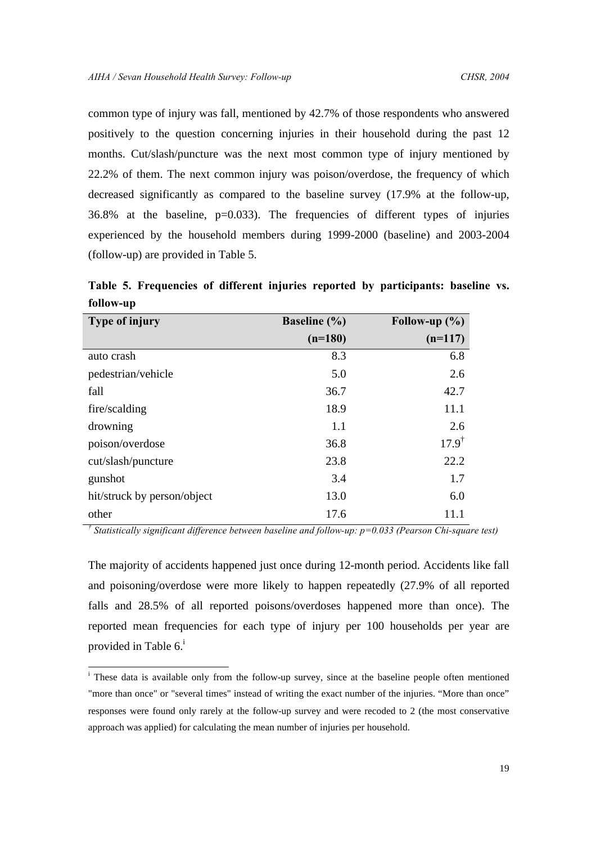common type of injury was fall, mentioned by 42.7% of those respondents who answered positively to the question concerning injuries in their household during the past 12 months. Cut/slash/puncture was the next most common type of injury mentioned by 22.2% of them. The next common injury was poison/overdose, the frequency of which decreased significantly as compared to the baseline survey (17.9% at the follow-up, 36.8% at the baseline, p=0.033). The frequencies of different types of injuries experienced by the household members during 1999-2000 (baseline) and 2003-2004 (follow-up) are provided in Table 5.

**Table 5. Frequencies of different injuries reported by participants: baseline vs. follow-up**

| Type of injury              | <b>Baseline</b> (%) | Follow-up $(\% )$ |
|-----------------------------|---------------------|-------------------|
|                             | $(n=180)$           | $(n=117)$         |
| auto crash                  | 8.3                 | 6.8               |
| pedestrian/vehicle          | 5.0                 | 2.6               |
| fall                        | 36.7                | 42.7              |
| fire/scalding               | 18.9                | 11.1              |
| drowning                    | 1.1                 | 2.6               |
| poison/overdose             | 36.8                | $17.9^{\dagger}$  |
| cut/slash/puncture          | 23.8                | 22.2              |
| gunshot                     | 3.4                 | 1.7               |
| hit/struck by person/object | 13.0                | 6.0               |
| other                       | 17.6                | 11.1              |

*† Statistically significant difference between baseline and follow-up: p=0.033 (Pearson Chi-square test)*

The majority of accidents happened just once during 12-month period. Accidents like fall and poisoning/overdose were more likely to happen repeatedly (27.9% of all reported falls and 28.5% of all reported poisons/overdoses happened more than once). The reported mean frequencies for each type of injury per 100 households per year are provided in Table  $6<sup>i</sup>$ 

-

<sup>&</sup>lt;sup>i</sup> These data is available only from the follow-up survey, since at the baseline people often mentioned "more than once" or "several times" instead of writing the exact number of the injuries. "More than once" responses were found only rarely at the follow-up survey and were recoded to 2 (the most conservative approach was applied) for calculating the mean number of injuries per household.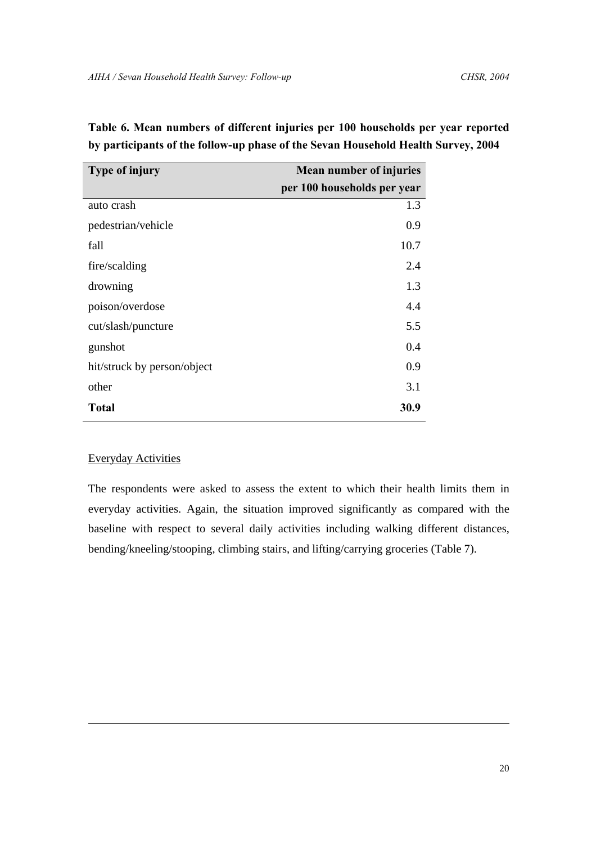| Type of injury              | <b>Mean number of injuries</b> |
|-----------------------------|--------------------------------|
|                             | per 100 households per year    |
| auto crash                  | 1.3                            |
| pedestrian/vehicle          | 0.9                            |
| fall                        | 10.7                           |
| fire/scalding               | 2.4                            |
| drowning                    | 1.3                            |
| poison/overdose             | 4.4                            |
| cut/slash/puncture          | 5.5                            |
| gunshot                     | 0.4                            |
| hit/struck by person/object | 0.9                            |
| other                       | 3.1                            |
| <b>Total</b>                | 30.9                           |

**Table 6. Mean numbers of different injuries per 100 households per year reported by participants of the follow-up phase of the Sevan Household Health Survey, 2004**

# Everyday Activities

1

The respondents were asked to assess the extent to which their health limits them in everyday activities. Again, the situation improved significantly as compared with the baseline with respect to several daily activities including walking different distances, bending/kneeling/stooping, climbing stairs, and lifting/carrying groceries (Table 7).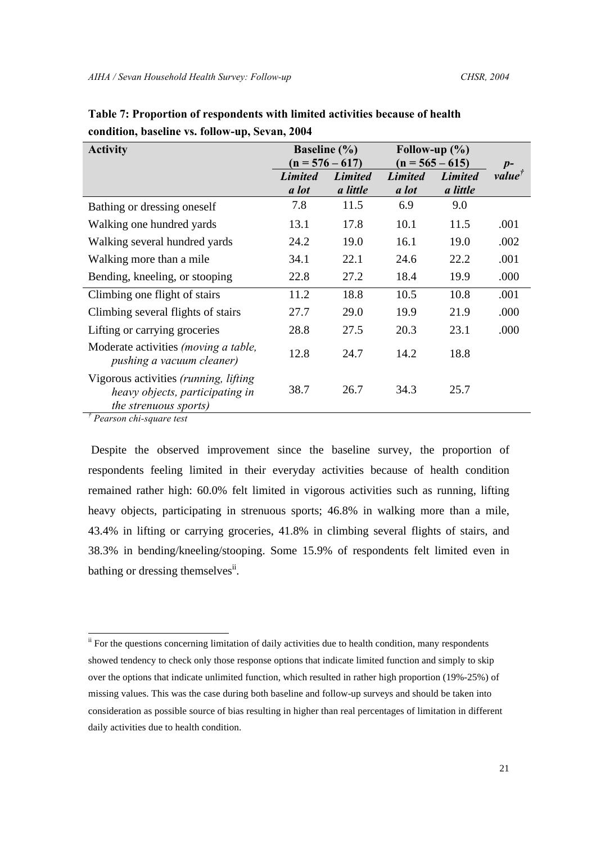| <b>Activity</b>                                                                                            | <b>Baseline</b> (%)     | $(n = 576 - 617)$          | Follow-up $(\% )$<br>$(n = 565 - 615)$ | $p-$                       |                           |
|------------------------------------------------------------------------------------------------------------|-------------------------|----------------------------|----------------------------------------|----------------------------|---------------------------|
|                                                                                                            | <b>Limited</b><br>a lot | <b>Limited</b><br>a little | <b>Limited</b><br>a lot                | <b>Limited</b><br>a little | value <sup><i>j</i></sup> |
| Bathing or dressing oneself                                                                                | 7.8                     | 11.5                       | 6.9                                    | 9.0                        |                           |
| Walking one hundred yards                                                                                  | 13.1                    | 17.8                       | 10.1                                   | 11.5                       | .001                      |
| Walking several hundred yards                                                                              | 24.2                    | 19.0                       | 16.1                                   | 19.0                       | .002                      |
| Walking more than a mile.                                                                                  | 34.1                    | 22.1                       | 24.6                                   | 22.2                       | .001                      |
| Bending, kneeling, or stooping                                                                             | 22.8                    | 27.2                       | 18.4                                   | 19.9                       | .000                      |
| Climbing one flight of stairs                                                                              | 11.2                    | 18.8                       | 10.5                                   | 10.8                       | .001                      |
| Climbing several flights of stairs                                                                         | 27.7                    | 29.0                       | 19.9                                   | 21.9                       | .000                      |
| Lifting or carrying groceries                                                                              | 28.8                    | 27.5                       | 20.3                                   | 23.1                       | .000                      |
| Moderate activities <i>(moving a table,</i><br>pushing a vacuum cleaner)                                   | 12.8                    | 24.7                       | 14.2                                   | 18.8                       |                           |
| Vigorous activities (running, lifting<br>heavy objects, participating in<br>the strenuous sports)<br>$\pi$ | 38.7                    | 26.7                       | 34.3                                   | 25.7                       |                           |

| Table 7: Proportion of respondents with limited activities because of health |
|------------------------------------------------------------------------------|
| condition, baseline vs. follow-up, Sevan, 2004                               |

*† Pearson chi-square test* 

1

 Despite the observed improvement since the baseline survey, the proportion of respondents feeling limited in their everyday activities because of health condition remained rather high: 60.0% felt limited in vigorous activities such as running, lifting heavy objects, participating in strenuous sports; 46.8% in walking more than a mile, 43.4% in lifting or carrying groceries, 41.8% in climbing several flights of stairs, and 38.3% in bending/kneeling/stooping. Some 15.9% of respondents felt limited even in bathing or dressing themselves<sup>ii</sup>.

<sup>&</sup>lt;sup>ii</sup> For the questions concerning limitation of daily activities due to health condition, many respondents showed tendency to check only those response options that indicate limited function and simply to skip over the options that indicate unlimited function, which resulted in rather high proportion (19%-25%) of missing values. This was the case during both baseline and follow-up surveys and should be taken into consideration as possible source of bias resulting in higher than real percentages of limitation in different daily activities due to health condition.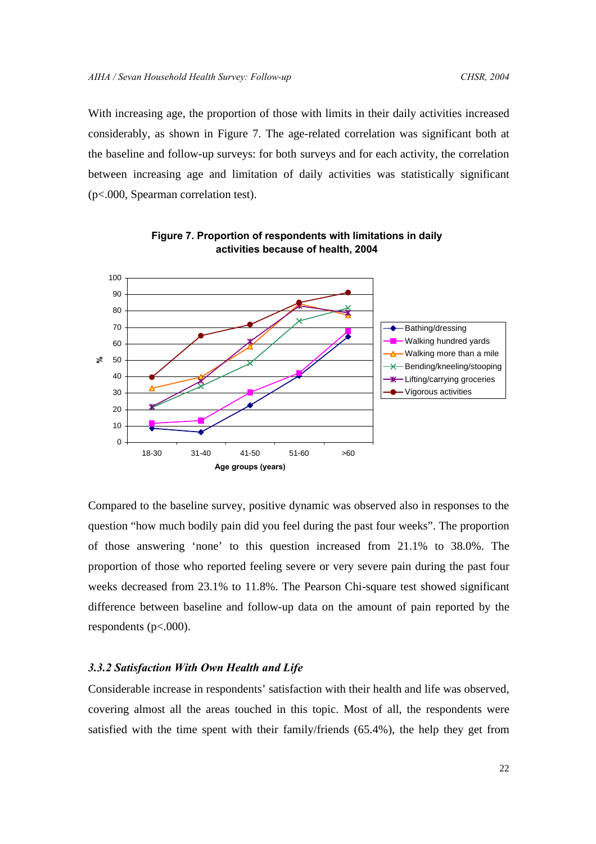With increasing age, the proportion of those with limits in their daily activities increased considerably, as shown in Figure 7. The age-related correlation was significant both at the baseline and follow-up surveys: for both surveys and for each activity, the correlation between increasing age and limitation of daily activities was statistically significant (p<.000, Spearman correlation test).





Compared to the baseline survey, positive dynamic was observed also in responses to the question "how much bodily pain did you feel during the past four weeks". The proportion of those answering 'none' to this question increased from 21.1% to 38.0%. The proportion of those who reported feeling severe or very severe pain during the past four weeks decreased from 23.1% to 11.8%. The Pearson Chi-square test showed significant difference between baseline and follow-up data on the amount of pain reported by the respondents (p<.000).

# *3.3.2 Satisfaction With Own Health and Life*

Considerable increase in respondents' satisfaction with their health and life was observed, covering almost all the areas touched in this topic. Most of all, the respondents were satisfied with the time spent with their family/friends (65.4%), the help they get from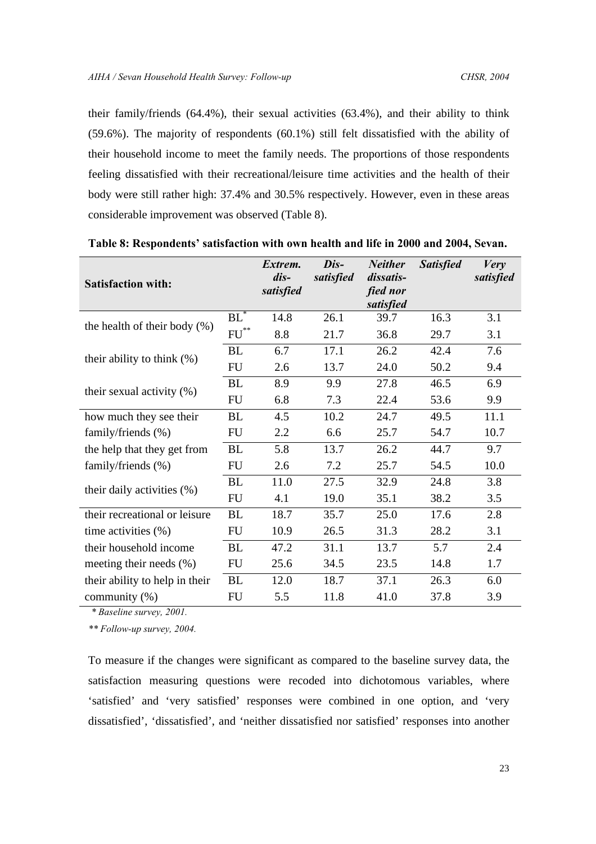their family/friends (64.4%), their sexual activities (63.4%), and their ability to think (59.6%). The majority of respondents (60.1%) still felt dissatisfied with the ability of their household income to meet the family needs. The proportions of those respondents feeling dissatisfied with their recreational/leisure time activities and the health of their body were still rather high: 37.4% and 30.5% respectively. However, even in these areas considerable improvement was observed (Table 8).

| <b>Satisfaction with:</b>                |                    | Extrem.<br>dis-<br>satisfied | Dis-<br>satisfied | <b>Neither</b><br>dissatis-<br>fied nor<br>satisfied | <b>Satisfied</b> | <b>Very</b><br>satisfied |
|------------------------------------------|--------------------|------------------------------|-------------------|------------------------------------------------------|------------------|--------------------------|
| the health of their body $(\%)$          | $BL^*$             | 14.8                         | 26.1              | 39.7                                                 | 16.3             | 3.1                      |
|                                          | $\mathrm{FU}^{**}$ | 8.8                          | 21.7              | 36.8                                                 | 29.7             | 3.1                      |
| their ability to think $(\%)$            | <b>BL</b>          | 6.7                          | 17.1              | 26.2                                                 | 42.4             | 7.6                      |
|                                          | <b>FU</b>          | 2.6                          | 13.7              | 24.0                                                 | 50.2             | 9.4                      |
| their sexual activity $(\%)$             | BL                 | 8.9                          | 9.9               | 27.8                                                 | 46.5             | 6.9                      |
|                                          | <b>FU</b>          | 6.8                          | 7.3               | 22.4                                                 | 53.6             | 9.9                      |
| how much they see their                  | <b>BL</b>          | 4.5                          | 10.2              | 24.7                                                 | 49.5             | 11.1                     |
| family/friends (%)                       | FU                 | 2.2                          | 6.6               | 25.7                                                 | 54.7             | 10.7                     |
| the help that they get from              | BL                 | 5.8                          | 13.7              | 26.2                                                 | 44.7             | 9.7                      |
| family/friends (%)<br><b>FU</b>          |                    | 2.6                          | 7.2               | 25.7                                                 | 54.5             | 10.0                     |
| their daily activities (%)               | <b>BL</b>          | 11.0                         | 27.5              | 32.9                                                 | 24.8             | 3.8                      |
|                                          | <b>FU</b>          | 4.1                          | 19.0              | 35.1                                                 | 38.2             | 3.5                      |
| their recreational or leisure            | <b>BL</b>          | 18.7                         | 35.7              | 25.0                                                 | 17.6             | 2.8                      |
| time activities $(\% )$                  | <b>FU</b>          | 10.9                         | 26.5              | 31.3                                                 | 28.2             | 3.1                      |
| their household income                   | <b>BL</b>          | 47.2                         | 31.1              | 13.7                                                 | 5.7              | 2.4                      |
| meeting their needs $(\% )$<br><b>FU</b> |                    | 25.6                         | 34.5              | 23.5                                                 | 14.8             | 1.7                      |
| their ability to help in their           | <b>BL</b>          | 12.0                         | 18.7              | 37.1                                                 | 26.3             | 6.0                      |
| community (%)                            | <b>FU</b>          | 5.5                          | 11.8              | 41.0                                                 | 37.8             | 3.9                      |

**Table 8: Respondents' satisfaction with own health and life in 2000 and 2004, Sevan.**

*\* Baseline survey, 2001.*

*\*\* Follow-up survey, 2004.*

To measure if the changes were significant as compared to the baseline survey data, the satisfaction measuring questions were recoded into dichotomous variables, where 'satisfied' and 'very satisfied' responses were combined in one option, and 'very dissatisfied', 'dissatisfied', and 'neither dissatisfied nor satisfied' responses into another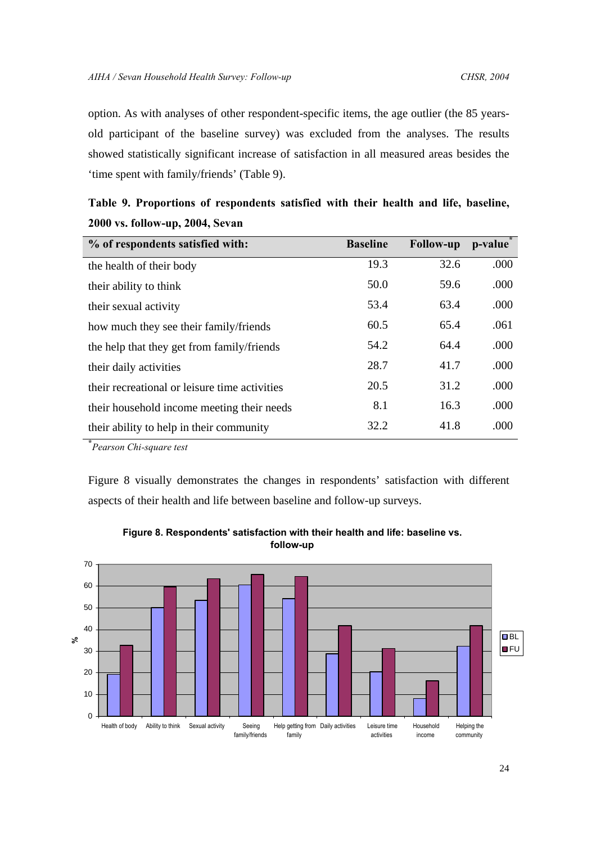option. As with analyses of other respondent-specific items, the age outlier (the 85 yearsold participant of the baseline survey) was excluded from the analyses. The results showed statistically significant increase of satisfaction in all measured areas besides the 'time spent with family/friends' (Table 9).

| % of respondents satisfied with:              | <b>Baseline</b> | <b>Follow-up</b> | p-value |
|-----------------------------------------------|-----------------|------------------|---------|
| the health of their body                      | 19.3            | 32.6             | .000    |
| their ability to think                        | 50.0            | 59.6             | .000    |
| their sexual activity                         | 53.4            | 63.4             | .000    |
| how much they see their family/friends        | 60.5            | 65.4             | .061    |
| the help that they get from family/friends    | 54.2            | 64.4             | .000    |
| their daily activities                        | 28.7            | 41.7             | .000    |
| their recreational or leisure time activities | 20.5            | 31.2             | .000    |
| their household income meeting their needs    | 8.1             | 16.3             | .000    |
| their ability to help in their community      | 32.2            | 41.8             | .000    |

| Table 9. Proportions of respondents satisfied with their health and life, baseline, |  |  |  |  |  |
|-------------------------------------------------------------------------------------|--|--|--|--|--|
| 2000 vs. follow-up, 2004, Sevan                                                     |  |  |  |  |  |

**\*** *Pearson Chi-square test*

Figure 8 visually demonstrates the changes in respondents' satisfaction with different aspects of their health and life between baseline and follow-up surveys.



**Figure 8. Respondents' satisfaction with their health and life: baseline vs. follow-up**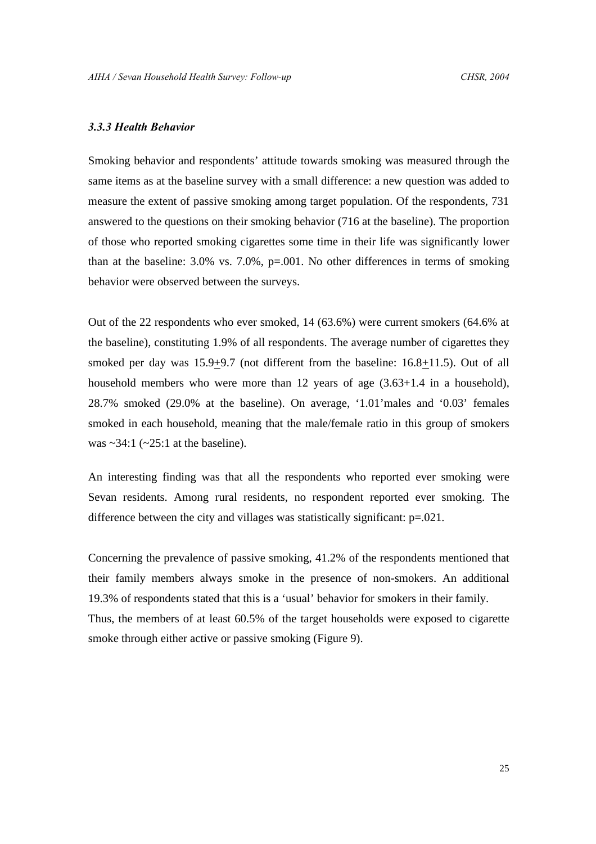# *3.3.3 Health Behavior*

Smoking behavior and respondents' attitude towards smoking was measured through the same items as at the baseline survey with a small difference: a new question was added to measure the extent of passive smoking among target population. Of the respondents, 731 answered to the questions on their smoking behavior (716 at the baseline). The proportion of those who reported smoking cigarettes some time in their life was significantly lower than at the baseline: 3.0% vs. 7.0%, p=.001. No other differences in terms of smoking behavior were observed between the surveys.

Out of the 22 respondents who ever smoked, 14 (63.6%) were current smokers (64.6% at the baseline), constituting 1.9% of all respondents. The average number of cigarettes they smoked per day was 15.9+9.7 (not different from the baseline: 16.8+11.5). Out of all household members who were more than 12 years of age  $(3.63+1.4 \text{ in a household})$ , 28.7% smoked (29.0% at the baseline). On average, '1.01'males and '0.03' females smoked in each household, meaning that the male/female ratio in this group of smokers was  $\sim$ 34:1 ( $\sim$ 25:1 at the baseline).

An interesting finding was that all the respondents who reported ever smoking were Sevan residents. Among rural residents, no respondent reported ever smoking. The difference between the city and villages was statistically significant: p=.021.

Concerning the prevalence of passive smoking, 41.2% of the respondents mentioned that their family members always smoke in the presence of non-smokers. An additional 19.3% of respondents stated that this is a 'usual' behavior for smokers in their family. Thus, the members of at least 60.5% of the target households were exposed to cigarette smoke through either active or passive smoking (Figure 9).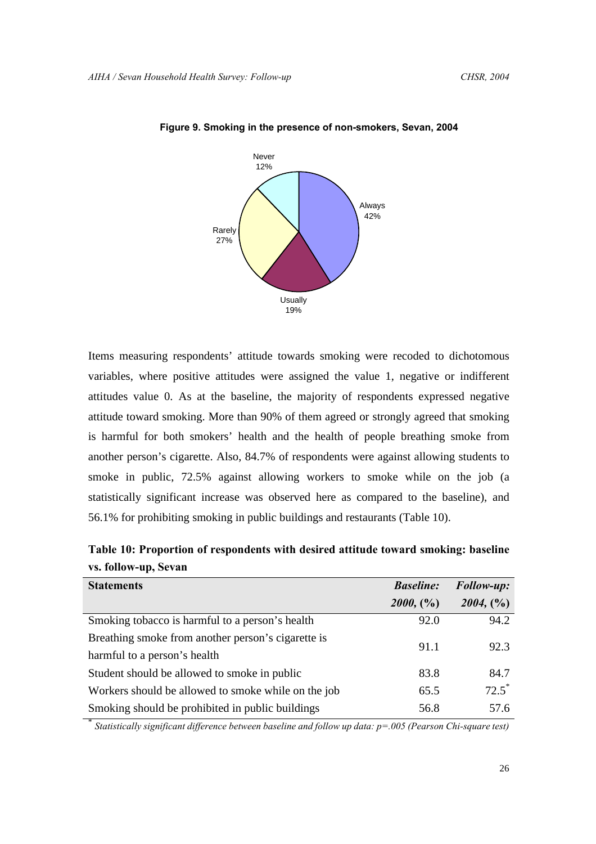

# **Figure 9. Smoking in the presence of non-smokers, Sevan, 2004**

Items measuring respondents' attitude towards smoking were recoded to dichotomous variables, where positive attitudes were assigned the value 1, negative or indifferent attitudes value 0. As at the baseline, the majority of respondents expressed negative attitude toward smoking. More than 90% of them agreed or strongly agreed that smoking is harmful for both smokers' health and the health of people breathing smoke from another person's cigarette. Also, 84.7% of respondents were against allowing students to smoke in public, 72.5% against allowing workers to smoke while on the job (a statistically significant increase was observed here as compared to the baseline), and 56.1% for prohibiting smoking in public buildings and restaurants (Table 10).

| <b>Statements</b>                                   | <b>Baseline:</b> | Follow-up: |  |
|-----------------------------------------------------|------------------|------------|--|
|                                                     | 2000, (%)        | 2004, (%)  |  |
| Smoking tobacco is harmful to a person's health     | 92.0             | 94.2       |  |
| Breathing smoke from another person's cigarette is  | 91.1             | 92.3       |  |
| harmful to a person's health                        |                  |            |  |
| Student should be allowed to smoke in public        | 83.8             | 84.7       |  |
| Workers should be allowed to smoke while on the job | 65.5             | $72.5^*$   |  |
| Smoking should be prohibited in public buildings    | 56.8             | 57.6       |  |

**Table 10: Proportion of respondents with desired attitude toward smoking: baseline vs. follow-up, Sevan** 

\* *Statistically significant difference between baseline and follow up data: p=.005 (Pearson Chi-square test)*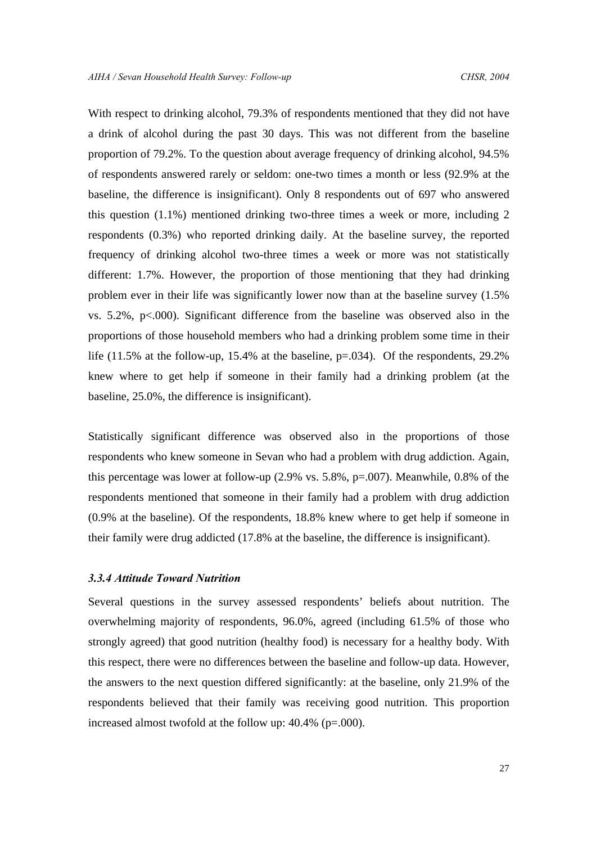With respect to drinking alcohol, 79.3% of respondents mentioned that they did not have a drink of alcohol during the past 30 days. This was not different from the baseline proportion of 79.2%. To the question about average frequency of drinking alcohol, 94.5% of respondents answered rarely or seldom: one-two times a month or less (92.9% at the baseline, the difference is insignificant). Only 8 respondents out of 697 who answered this question (1.1%) mentioned drinking two-three times a week or more, including 2 respondents (0.3%) who reported drinking daily. At the baseline survey, the reported frequency of drinking alcohol two-three times a week or more was not statistically different: 1.7%. However, the proportion of those mentioning that they had drinking problem ever in their life was significantly lower now than at the baseline survey (1.5% vs. 5.2%, p<.000). Significant difference from the baseline was observed also in the proportions of those household members who had a drinking problem some time in their life (11.5% at the follow-up, 15.4% at the baseline, p=.034). Of the respondents, 29.2% knew where to get help if someone in their family had a drinking problem (at the baseline, 25.0%, the difference is insignificant).

Statistically significant difference was observed also in the proportions of those respondents who knew someone in Sevan who had a problem with drug addiction. Again, this percentage was lower at follow-up (2.9% vs. 5.8%, p=.007). Meanwhile, 0.8% of the respondents mentioned that someone in their family had a problem with drug addiction (0.9% at the baseline). Of the respondents, 18.8% knew where to get help if someone in their family were drug addicted (17.8% at the baseline, the difference is insignificant).

# *3.3.4 Attitude Toward Nutrition*

Several questions in the survey assessed respondents' beliefs about nutrition. The overwhelming majority of respondents, 96.0%, agreed (including 61.5% of those who strongly agreed) that good nutrition (healthy food) is necessary for a healthy body. With this respect, there were no differences between the baseline and follow-up data. However, the answers to the next question differed significantly: at the baseline, only 21.9% of the respondents believed that their family was receiving good nutrition. This proportion increased almost twofold at the follow up: 40.4% (p=.000).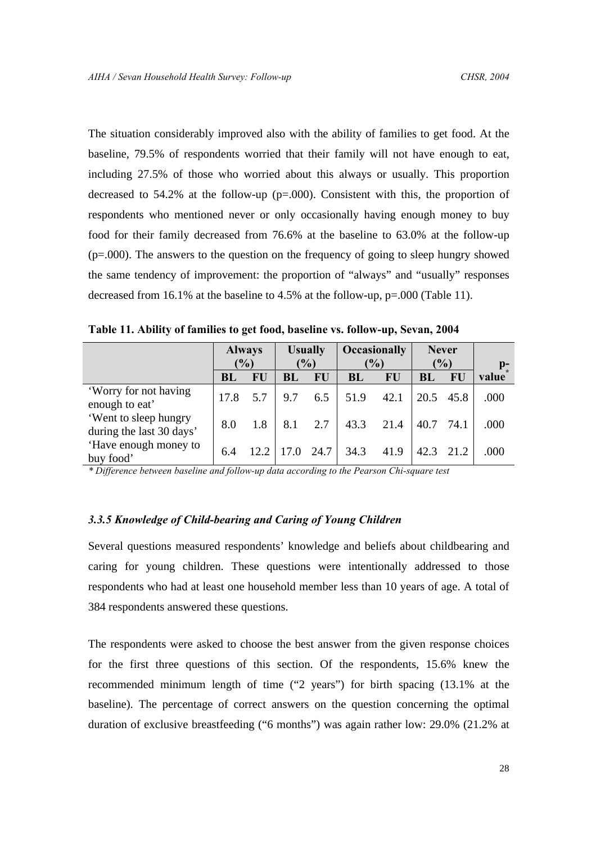The situation considerably improved also with the ability of families to get food. At the baseline, 79.5% of respondents worried that their family will not have enough to eat, including 27.5% of those who worried about this always or usually. This proportion decreased to 54.2% at the follow-up (p=.000). Consistent with this, the proportion of respondents who mentioned never or only occasionally having enough money to buy food for their family decreased from 76.6% at the baseline to 63.0% at the follow-up (p=.000). The answers to the question on the frequency of going to sleep hungry showed the same tendency of improvement: the proportion of "always" and "usually" responses decreased from 16.1% at the baseline to 4.5% at the follow-up, p=.000 (Table 11).

**Table 11. Ability of families to get food, baseline vs. follow-up, Sevan, 2004**

|                                                   | <b>Always</b> |      | <b>Usually</b> |           | Occasionally  |      | <b>Never</b>  |           |       |  |
|---------------------------------------------------|---------------|------|----------------|-----------|---------------|------|---------------|-----------|-------|--|
|                                                   | $\frac{9}{6}$ |      | (%)            |           | $\frac{6}{6}$ |      | $\frac{1}{2}$ |           | $p-$  |  |
|                                                   | <b>BL</b>     | FU   | BL             | <b>FU</b> | BL            | FU   | BL            | <b>FU</b> | value |  |
| 'Worry for not having<br>enough to eat'           | 17.8          | 5.7  | 9.7            | 6.5       | 51.9          | 42.1 | 20.5          | 45.8      | .000  |  |
| 'Went to sleep hungry<br>during the last 30 days' | 8.0           | 1.8  | 8.1            | 2.7       | 43.3          | 21.4 | 40.7          | 74.1      | .000  |  |
| 'Have enough money to<br>buy food'                | 6.4           | 12.2 | 17.0           | 24.7      | 34.3          | 41.9 | 42.3          | 21.2      | .000  |  |

*\* Difference between baseline and follow-up data according to the Pearson Chi-square test*

# *3.3.5 Knowledge of Child-bearing and Caring of Young Children*

Several questions measured respondents' knowledge and beliefs about childbearing and caring for young children. These questions were intentionally addressed to those respondents who had at least one household member less than 10 years of age. A total of 384 respondents answered these questions.

The respondents were asked to choose the best answer from the given response choices for the first three questions of this section. Of the respondents, 15.6% knew the recommended minimum length of time ("2 years") for birth spacing (13.1% at the baseline). The percentage of correct answers on the question concerning the optimal duration of exclusive breastfeeding ("6 months") was again rather low: 29.0% (21.2% at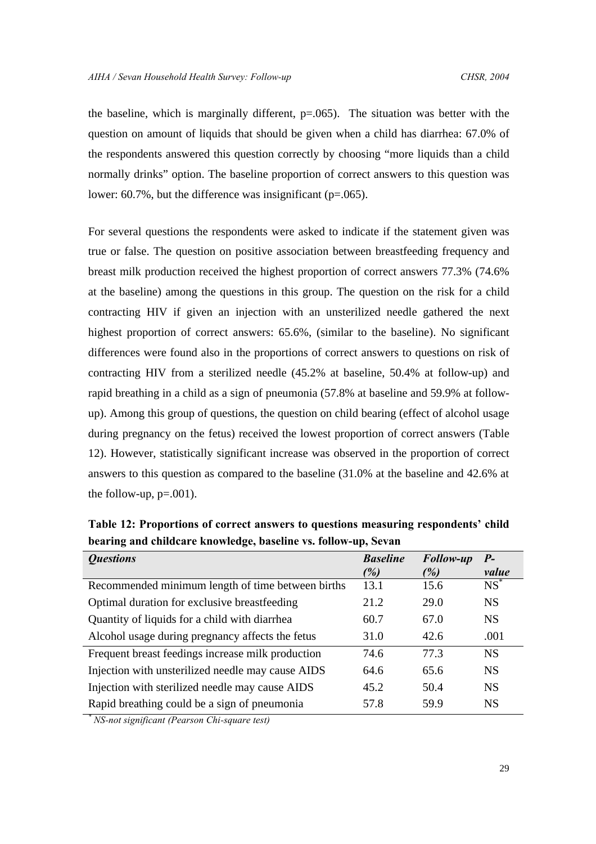the baseline, which is marginally different,  $p=0.065$ ). The situation was better with the question on amount of liquids that should be given when a child has diarrhea: 67.0% of the respondents answered this question correctly by choosing "more liquids than a child normally drinks" option. The baseline proportion of correct answers to this question was lower:  $60.7\%$ , but the difference was insignificant ( $p=.065$ ).

For several questions the respondents were asked to indicate if the statement given was true or false. The question on positive association between breastfeeding frequency and breast milk production received the highest proportion of correct answers 77.3% (74.6% at the baseline) among the questions in this group. The question on the risk for a child contracting HIV if given an injection with an unsterilized needle gathered the next highest proportion of correct answers:  $65.6\%$ , (similar to the baseline). No significant differences were found also in the proportions of correct answers to questions on risk of contracting HIV from a sterilized needle (45.2% at baseline, 50.4% at follow-up) and rapid breathing in a child as a sign of pneumonia (57.8% at baseline and 59.9% at followup). Among this group of questions, the question on child bearing (effect of alcohol usage during pregnancy on the fetus) received the lowest proportion of correct answers (Table 12). However, statistically significant increase was observed in the proportion of correct answers to this question as compared to the baseline (31.0% at the baseline and 42.6% at the follow-up,  $p=.001$ ).

**Table 12: Proportions of correct answers to questions measuring respondents' child bearing and childcare knowledge, baseline vs. follow-up, Sevan** 

| <i><b>Questions</b></i>                           | <b>Baseline</b> | <b>Follow-up</b> | $P-$      |
|---------------------------------------------------|-----------------|------------------|-----------|
|                                                   | (%)             | (%)              | value     |
| Recommended minimum length of time between births | 13.1            | 15.6             | $NS^*$    |
| Optimal duration for exclusive breastfeeding      | 21.2            | 29.0             | <b>NS</b> |
| Quantity of liquids for a child with diarrhea     | 60.7            | 67.0             | <b>NS</b> |
| Alcohol usage during pregnancy affects the fetus  | 31.0            | 42.6             | .001      |
| Frequent breast feedings increase milk production | 74.6            | 77.3             | <b>NS</b> |
| Injection with unsterilized needle may cause AIDS | 64.6            | 65.6             | <b>NS</b> |
| Injection with sterilized needle may cause AIDS   | 45.2            | 50.4             | <b>NS</b> |
| Rapid breathing could be a sign of pneumonia      | 57.8            | 59.9             | <b>NS</b> |

*\* NS-not significant (Pearson Chi-square test)*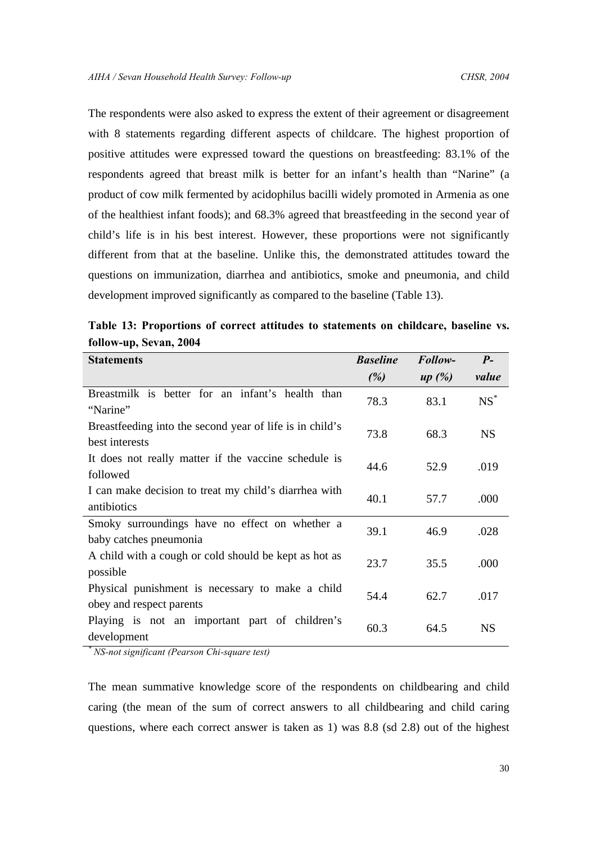The respondents were also asked to express the extent of their agreement or disagreement with 8 statements regarding different aspects of childcare. The highest proportion of positive attitudes were expressed toward the questions on breastfeeding: 83.1% of the respondents agreed that breast milk is better for an infant's health than "Narine" (a product of cow milk fermented by acidophilus bacilli widely promoted in Armenia as one of the healthiest infant foods); and 68.3% agreed that breastfeeding in the second year of child's life is in his best interest. However, these proportions were not significantly different from that at the baseline. Unlike this, the demonstrated attitudes toward the questions on immunization, diarrhea and antibiotics, smoke and pneumonia, and child development improved significantly as compared to the baseline (Table 13).

**Table 13: Proportions of correct attitudes to statements on childcare, baseline vs. follow-up, Sevan, 2004**

| <b>Statements</b>                                                            | <b>Baseline</b> | Follow- | $P-$      |
|------------------------------------------------------------------------------|-----------------|---------|-----------|
|                                                                              | (%)             | up(%)   | value     |
| Breastmilk is better for an infant's health than<br>"Narine"                 | 78.3            | 83.1    | $NS^*$    |
| Breastfeeding into the second year of life is in child's<br>best interests   | 73.8            | 68.3    | <b>NS</b> |
| It does not really matter if the vaccine schedule is<br>followed             | 44.6            | 52.9    | .019      |
| I can make decision to treat my child's diarrhea with<br>antibiotics         | 40.1            | 57.7    | .000      |
| Smoky surroundings have no effect on whether a<br>baby catches pneumonia     | 39.1            | 46.9    | .028      |
| A child with a cough or cold should be kept as hot as<br>possible            | 23.7            | 35.5    | .000      |
| Physical punishment is necessary to make a child<br>obey and respect parents | 54.4            | 62.7    | .017      |
| Playing is not an important part of children's<br>development                | 60.3            | 64.5    | <b>NS</b> |

*\* NS-not significant (Pearson Chi-square test)*

The mean summative knowledge score of the respondents on childbearing and child caring (the mean of the sum of correct answers to all childbearing and child caring questions, where each correct answer is taken as 1) was 8.8 (sd 2.8) out of the highest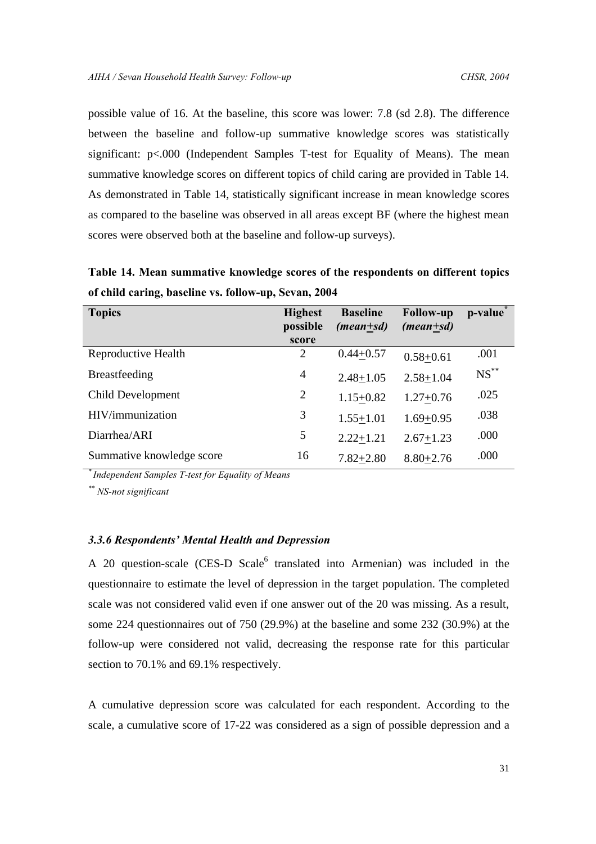possible value of 16. At the baseline, this score was lower: 7.8 (sd 2.8). The difference between the baseline and follow-up summative knowledge scores was statistically significant: p<.000 (Independent Samples T-test for Equality of Means). The mean summative knowledge scores on different topics of child caring are provided in Table 14. As demonstrated in Table 14, statistically significant increase in mean knowledge scores as compared to the baseline was observed in all areas except BF (where the highest mean scores were observed both at the baseline and follow-up surveys).

**Topics Highest possible score Baseline**  *(mean+sd)* **Follow-up**  *(mean+sd)* **p-value\*** Reproductive Health  $2 \t 0.44+0.57 \t 0.58+0.61 \t .001$ Breastfeeding  $\frac{4}{2.48 \pm 1.05}$   $\frac{2.58 \pm 1.04}{2.58 \pm 1.04}$  NS<sup>\*\*</sup> Child Development 2  $1.15+0.82$   $1.27+0.76$   $.025$ HIV/immunization 3 1.55+1.01 1.69+0.95 .038 Diarrhea/ARI 5 2.22 $\pm$ 1.21 2.67 $\pm$ 1.23 .000 Summative knowledge score 16 7.82+2.80 8.80+2.76 .000

**Table 14. Mean summative knowledge scores of the respondents on different topics of child caring, baseline vs. follow-up, Sevan, 2004** 

*\* Independent Samples T-test for Equality of Means*

*\*\* NS-not significant*

# *3.3.6 Respondents' Mental Health and Depression*

A 20 question-scale (CES-D Scale<sup>6</sup> translated into Armenian) was included in the questionnaire to estimate the level of depression in the target population. The completed scale was not considered valid even if one answer out of the 20 was missing. As a result, some 224 questionnaires out of 750 (29.9%) at the baseline and some 232 (30.9%) at the follow-up were considered not valid, decreasing the response rate for this particular section to 70.1% and 69.1% respectively.

A cumulative depression score was calculated for each respondent. According to the scale, a cumulative score of 17-22 was considered as a sign of possible depression and a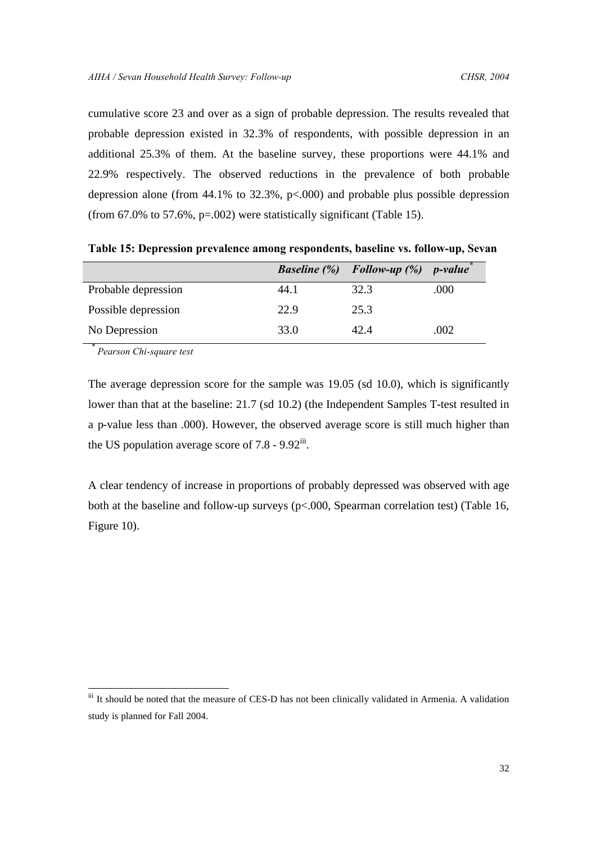cumulative score 23 and over as a sign of probable depression. The results revealed that probable depression existed in 32.3% of respondents, with possible depression in an additional 25.3% of them. At the baseline survey, these proportions were 44.1% and 22.9% respectively. The observed reductions in the prevalence of both probable depression alone (from  $44.1\%$  to  $32.3\%$ ,  $p<.000$ ) and probable plus possible depression (from  $67.0\%$  to  $57.6\%$ ,  $p=.002$ ) were statistically significant (Table 15).

|                     |      | <b>Baseline</b> $(\%)$ <b>Follow-up</b> $(\%)$ | <i>p-value</i> |
|---------------------|------|------------------------------------------------|----------------|
| Probable depression | 44.1 | 32.3                                           | .000           |
| Possible depression | 22.9 | 25.3                                           |                |
| No Depression       | 33.0 | 42.4                                           | .002           |

**Table 15: Depression prevalence among respondents, baseline vs. follow-up, Sevan**

*\* Pearson Chi-square test*

 $\overline{a}$ 

The average depression score for the sample was 19.05 (sd 10.0), which is significantly lower than that at the baseline: 21.7 (sd 10.2) (the Independent Samples T-test resulted in a p-value less than .000). However, the observed average score is still much higher than the US population average score of  $7.8 - 9.92$ <sup>iii</sup>.

A clear tendency of increase in proportions of probably depressed was observed with age both at the baseline and follow-up surveys (p<.000, Spearman correlation test) (Table 16, Figure 10).

iii It should be noted that the measure of CES-D has not been clinically validated in Armenia. A validation study is planned for Fall 2004.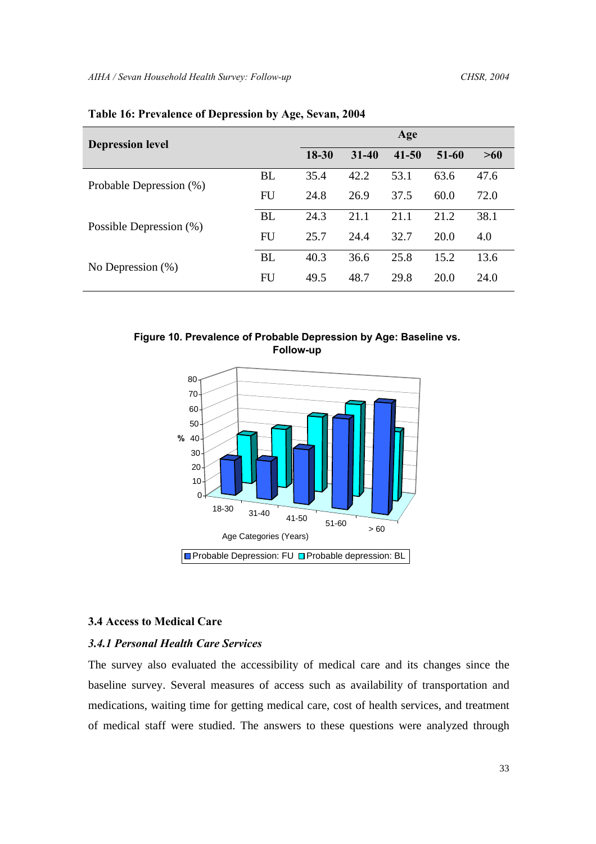| <b>Depression level</b> |           | Age       |           |           |       |      |
|-------------------------|-----------|-----------|-----------|-----------|-------|------|
|                         |           | $18 - 30$ | $31 - 40$ | $41 - 50$ | 51-60 | >60  |
| Probable Depression (%) | BL        | 35.4      | 42.2      | 53.1      | 63.6  | 47.6 |
|                         | <b>FU</b> | 24.8      | 26.9      | 37.5      | 60.0  | 72.0 |
| Possible Depression (%) | <b>BL</b> | 24.3      | 21.1      | 21.1      | 21.2  | 38.1 |
|                         | <b>FU</b> | 25.7      | 24.4      | 32.7      | 20.0  | 4.0  |
| No Depression $(\%)$    | <b>BL</b> | 40.3      | 36.6      | 25.8      | 15.2  | 13.6 |
|                         | FU        | 49.5      | 48.7      | 29.8      | 20.0  | 24.0 |

# **Table 16: Prevalence of Depression by Age, Sevan, 2004**

**Figure 10. Prevalence of Probable Depression by Age: Baseline vs. Follow-up**



# **3.4 Access to Medical Care**

# *3.4.1 Personal Health Care Services*

The survey also evaluated the accessibility of medical care and its changes since the baseline survey. Several measures of access such as availability of transportation and medications, waiting time for getting medical care, cost of health services, and treatment of medical staff were studied. The answers to these questions were analyzed through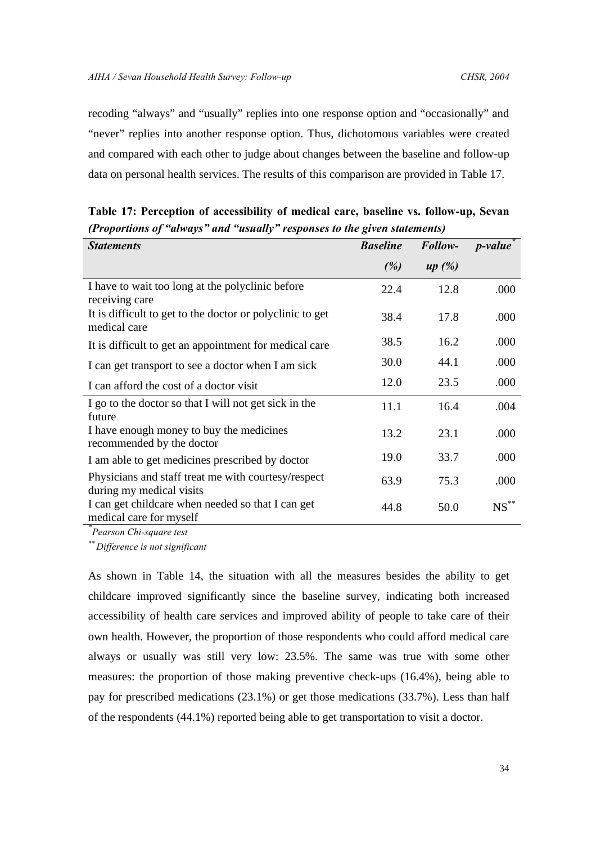recoding "always" and "usually" replies into one response option and "occasionally" and "never" replies into another response option. Thus, dichotomous variables were created and compared with each other to judge about changes between the baseline and follow-up data on personal health services. The results of this comparison are provided in Table 17.

| <b>Statements</b>                                                               | <b>Baseline</b> | Follow- | <i>p</i> -value |
|---------------------------------------------------------------------------------|-----------------|---------|-----------------|
|                                                                                 | (%)             | up(%)   |                 |
| I have to wait too long at the polyclinic before<br>receiving care              | 22.4            | 12.8    | .000            |
| It is difficult to get to the doctor or polyclinic to get<br>medical care       | 38.4            | 17.8    | .000            |
| It is difficult to get an appointment for medical care                          | 38.5            | 16.2    | .000            |
| I can get transport to see a doctor when I am sick                              | 30.0            | 44.1    | .000            |
| I can afford the cost of a doctor visit                                         | 12.0            | 23.5    | .000            |
| I go to the doctor so that I will not get sick in the<br>future                 | 11.1            | 16.4    | .004            |
| I have enough money to buy the medicines<br>recommended by the doctor           | 13.2            | 23.1    | .000            |
| I am able to get medicines prescribed by doctor                                 | 19.0            | 33.7    | .000            |
| Physicians and staff treat me with courtesy/respect<br>during my medical visits | 63.9            | 75.3    | .000            |
| I can get childcare when needed so that I can get<br>medical care for myself    | 44.8            | 50.0    | $NS^{\ast\ast}$ |

**Table 17: Perception of accessibility of medical care, baseline vs. follow-up, Sevan** *(Proportions of "always" and "usually" responses to the given statements)*

*\* Pearson Chi-square test*

*\*\* Difference is not significant*

As shown in Table 14, the situation with all the measures besides the ability to get childcare improved significantly since the baseline survey, indicating both increased accessibility of health care services and improved ability of people to take care of their own health. However, the proportion of those respondents who could afford medical care always or usually was still very low: 23.5%. The same was true with some other measures: the proportion of those making preventive check-ups (16.4%), being able to pay for prescribed medications (23.1%) or get those medications (33.7%). Less than half of the respondents (44.1%) reported being able to get transportation to visit a doctor.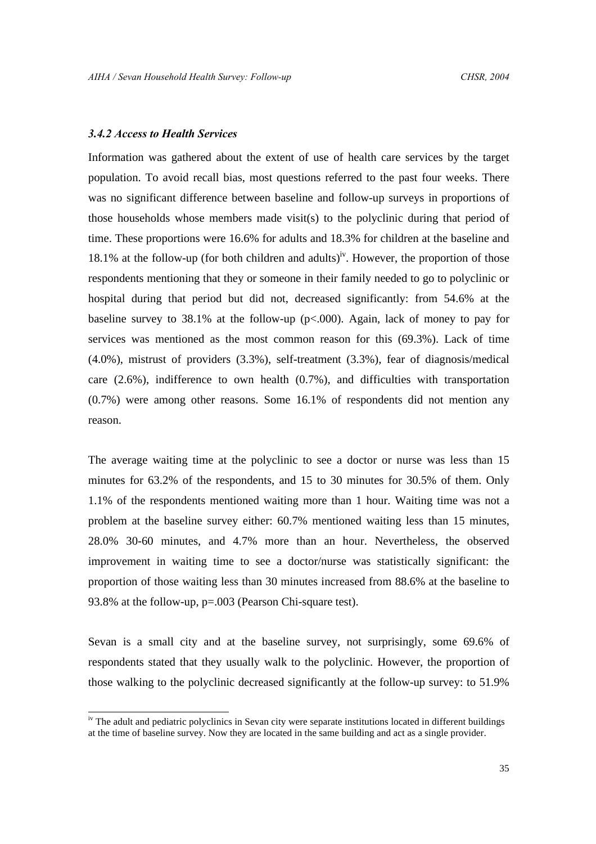# *3.4.2 Access to Health Services*

1

Information was gathered about the extent of use of health care services by the target population. To avoid recall bias, most questions referred to the past four weeks. There was no significant difference between baseline and follow-up surveys in proportions of those households whose members made visit(s) to the polyclinic during that period of time. These proportions were 16.6% for adults and 18.3% for children at the baseline and 18.1% at the follow-up (for both children and adults)<sup>iv</sup>. However, the proportion of those respondents mentioning that they or someone in their family needed to go to polyclinic or hospital during that period but did not, decreased significantly: from 54.6% at the baseline survey to  $38.1\%$  at the follow-up (p<.000). Again, lack of money to pay for services was mentioned as the most common reason for this (69.3%). Lack of time (4.0%), mistrust of providers (3.3%), self-treatment (3.3%), fear of diagnosis/medical care (2.6%), indifference to own health (0.7%), and difficulties with transportation (0.7%) were among other reasons. Some 16.1% of respondents did not mention any reason.

The average waiting time at the polyclinic to see a doctor or nurse was less than 15 minutes for 63.2% of the respondents, and 15 to 30 minutes for 30.5% of them. Only 1.1% of the respondents mentioned waiting more than 1 hour. Waiting time was not a problem at the baseline survey either: 60.7% mentioned waiting less than 15 minutes, 28.0% 30-60 minutes, and 4.7% more than an hour. Nevertheless, the observed improvement in waiting time to see a doctor/nurse was statistically significant: the proportion of those waiting less than 30 minutes increased from 88.6% at the baseline to 93.8% at the follow-up, p=.003 (Pearson Chi-square test).

Sevan is a small city and at the baseline survey, not surprisingly, some 69.6% of respondents stated that they usually walk to the polyclinic. However, the proportion of those walking to the polyclinic decreased significantly at the follow-up survey: to 51.9%

<sup>&</sup>lt;sup>iv</sup> The adult and pediatric polyclinics in Sevan city were separate institutions located in different buildings at the time of baseline survey. Now they are located in the same building and act as a single provider.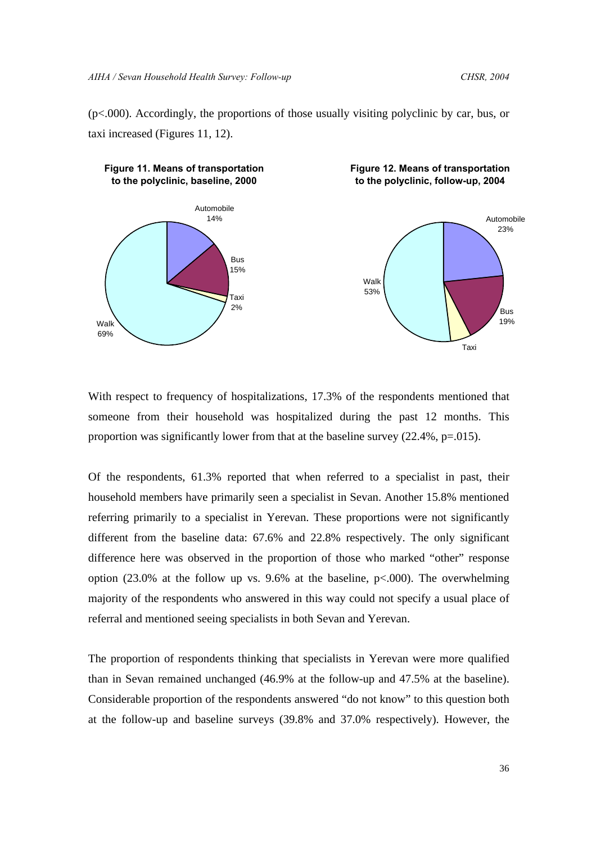(p<.000). Accordingly, the proportions of those usually visiting polyclinic by car, bus, or taxi increased (Figures 11, 12).



With respect to frequency of hospitalizations, 17.3% of the respondents mentioned that someone from their household was hospitalized during the past 12 months. This proportion was significantly lower from that at the baseline survey (22.4%, p=.015).

Of the respondents, 61.3% reported that when referred to a specialist in past, their household members have primarily seen a specialist in Sevan. Another 15.8% mentioned referring primarily to a specialist in Yerevan. These proportions were not significantly different from the baseline data: 67.6% and 22.8% respectively. The only significant difference here was observed in the proportion of those who marked "other" response option (23.0% at the follow up vs. 9.6% at the baseline,  $p<.000$ ). The overwhelming majority of the respondents who answered in this way could not specify a usual place of referral and mentioned seeing specialists in both Sevan and Yerevan.

The proportion of respondents thinking that specialists in Yerevan were more qualified than in Sevan remained unchanged (46.9% at the follow-up and 47.5% at the baseline). Considerable proportion of the respondents answered "do not know" to this question both at the follow-up and baseline surveys (39.8% and 37.0% respectively). However, the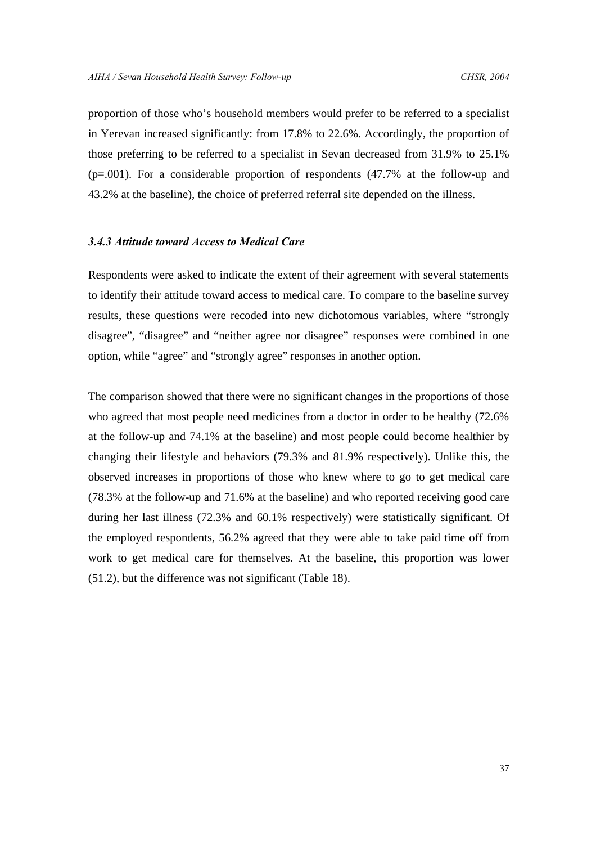proportion of those who's household members would prefer to be referred to a specialist in Yerevan increased significantly: from 17.8% to 22.6%. Accordingly, the proportion of those preferring to be referred to a specialist in Sevan decreased from 31.9% to 25.1% (p=.001). For a considerable proportion of respondents (47.7% at the follow-up and 43.2% at the baseline), the choice of preferred referral site depended on the illness.

# *3.4.3 Attitude toward Access to Medical Care*

Respondents were asked to indicate the extent of their agreement with several statements to identify their attitude toward access to medical care. To compare to the baseline survey results, these questions were recoded into new dichotomous variables, where "strongly disagree", "disagree" and "neither agree nor disagree" responses were combined in one option, while "agree" and "strongly agree" responses in another option.

The comparison showed that there were no significant changes in the proportions of those who agreed that most people need medicines from a doctor in order to be healthy (72.6% at the follow-up and 74.1% at the baseline) and most people could become healthier by changing their lifestyle and behaviors (79.3% and 81.9% respectively). Unlike this, the observed increases in proportions of those who knew where to go to get medical care (78.3% at the follow-up and 71.6% at the baseline) and who reported receiving good care during her last illness (72.3% and 60.1% respectively) were statistically significant. Of the employed respondents, 56.2% agreed that they were able to take paid time off from work to get medical care for themselves. At the baseline, this proportion was lower (51.2), but the difference was not significant (Table 18).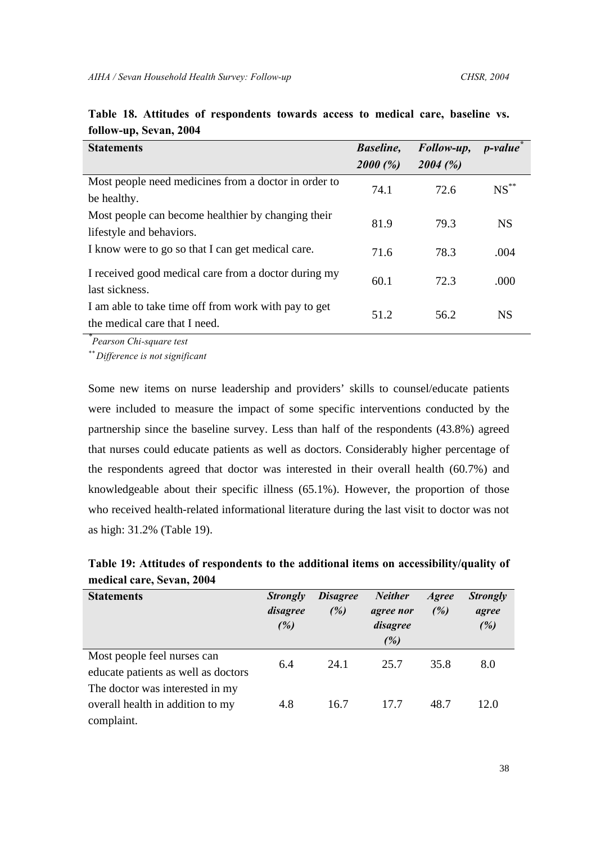| <b>Statements</b>                                                                     | <b>Baseline</b> ,<br>2000(%) | Follow-up,<br>2004(%) | <i>p</i> -value |
|---------------------------------------------------------------------------------------|------------------------------|-----------------------|-----------------|
| Most people need medicines from a doctor in order to<br>be healthy.                   | 74.1                         | 72.6                  | $NS$ **         |
| Most people can become healthier by changing their<br>lifestyle and behaviors.        | 81.9                         | 79.3                  | <b>NS</b>       |
| I know were to go so that I can get medical care.                                     | 71.6                         | 78.3                  | .004            |
| I received good medical care from a doctor during my<br>last sickness.                | 60.1                         | 72.3                  | .000            |
| I am able to take time off from work with pay to get<br>the medical care that I need. | 51.2                         | 56.2                  | <b>NS</b>       |

|  |                        | Table 18. Attitudes of respondents towards access to medical care, baseline vs. |  |  |  |  |
|--|------------------------|---------------------------------------------------------------------------------|--|--|--|--|
|  | follow-up, Sevan, 2004 |                                                                                 |  |  |  |  |

*\* Pearson Chi-square test*

*\*\* Difference is not significant*

Some new items on nurse leadership and providers' skills to counsel/educate patients were included to measure the impact of some specific interventions conducted by the partnership since the baseline survey. Less than half of the respondents (43.8%) agreed that nurses could educate patients as well as doctors. Considerably higher percentage of the respondents agreed that doctor was interested in their overall health (60.7%) and knowledgeable about their specific illness (65.1%). However, the proportion of those who received health-related informational literature during the last visit to doctor was not as high: 31.2% (Table 19).

| Table 19: Attitudes of respondents to the additional items on accessibility/quality of |  |  |
|----------------------------------------------------------------------------------------|--|--|
| medical care, Sevan, 2004                                                              |  |  |

| <b>Statements</b>                                                                 | <b>Strongly</b><br>disagree<br>(%) | <b>Disagree</b><br>(%) | <b>Neither</b><br>agree nor<br>disagree<br>(%) | <b>Agree</b><br>(%) | <b>Strongly</b><br>agree<br>(%) |
|-----------------------------------------------------------------------------------|------------------------------------|------------------------|------------------------------------------------|---------------------|---------------------------------|
| Most people feel nurses can<br>educate patients as well as doctors                | 6.4                                | 24.1                   | 25.7                                           | 35.8                | 8.0                             |
| The doctor was interested in my<br>overall health in addition to my<br>complaint. | 4.8                                | 16.7                   | 17.7                                           | 48.7                | 12.0                            |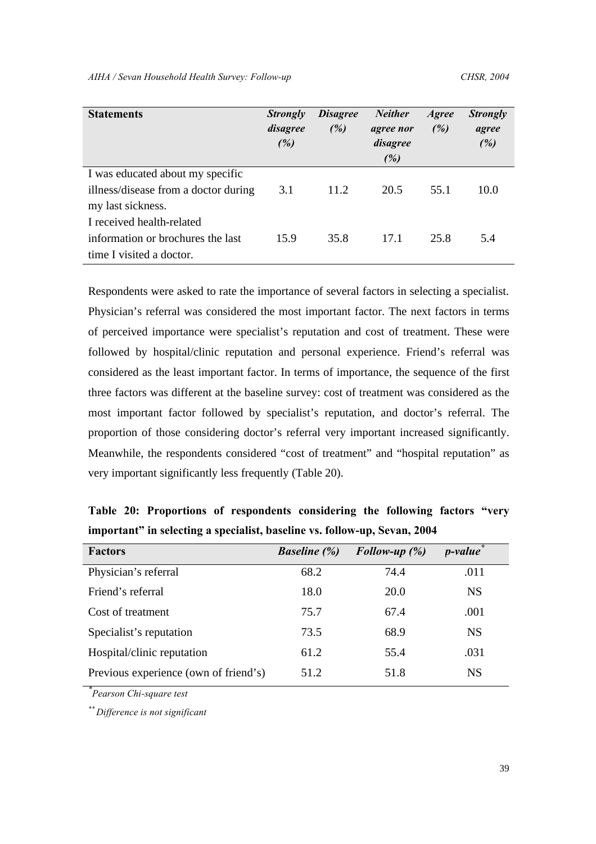| <b>Statements</b>                    | <b>Strongly</b><br>disagree<br>(%) | <b>Disagree</b><br>(%) | <b>Neither</b><br>agree nor<br>disagree<br>(%) | Agree<br>(%) | <b>Strongly</b><br>agree<br>(%) |
|--------------------------------------|------------------------------------|------------------------|------------------------------------------------|--------------|---------------------------------|
| I was educated about my specific     |                                    |                        |                                                |              |                                 |
| illness/disease from a doctor during | 3.1                                | 11.2                   | 20.5                                           | 55.1         | 10.0                            |
| my last sickness.                    |                                    |                        |                                                |              |                                 |
| I received health-related            |                                    |                        |                                                |              |                                 |
| information or brochures the last    | 15.9                               | 35.8                   | 17.1                                           | 25.8         | 5.4                             |
| time I visited a doctor.             |                                    |                        |                                                |              |                                 |

Respondents were asked to rate the importance of several factors in selecting a specialist. Physician's referral was considered the most important factor. The next factors in terms of perceived importance were specialist's reputation and cost of treatment. These were followed by hospital/clinic reputation and personal experience. Friend's referral was considered as the least important factor. In terms of importance, the sequence of the first three factors was different at the baseline survey: cost of treatment was considered as the most important factor followed by specialist's reputation, and doctor's referral. The proportion of those considering doctor's referral very important increased significantly. Meanwhile, the respondents considered "cost of treatment" and "hospital reputation" as very important significantly less frequently (Table 20).

**Table 20: Proportions of respondents considering the following factors "very important" in selecting a specialist, baseline vs. follow-up, Sevan, 2004**

| <b>Factors</b>                        | <b>Baseline</b> (%) | Follow-up $(\%)$ | <i>p</i> -value <sup>†</sup> |
|---------------------------------------|---------------------|------------------|------------------------------|
| Physician's referral                  | 68.2                | 74.4             | .011                         |
| Friend's referral                     | 18.0                | 20.0             | <b>NS</b>                    |
| Cost of treatment                     | 75.7                | 67.4             | .001                         |
| Specialist's reputation               | 73.5                | 68.9             | <b>NS</b>                    |
| Hospital/clinic reputation            | 61.2                | 55.4             | .031                         |
| Previous experience (own of friend's) | 51.2                | 51.8             | <b>NS</b>                    |

*\* Pearson Chi-square test*

*\*\* Difference is not significant*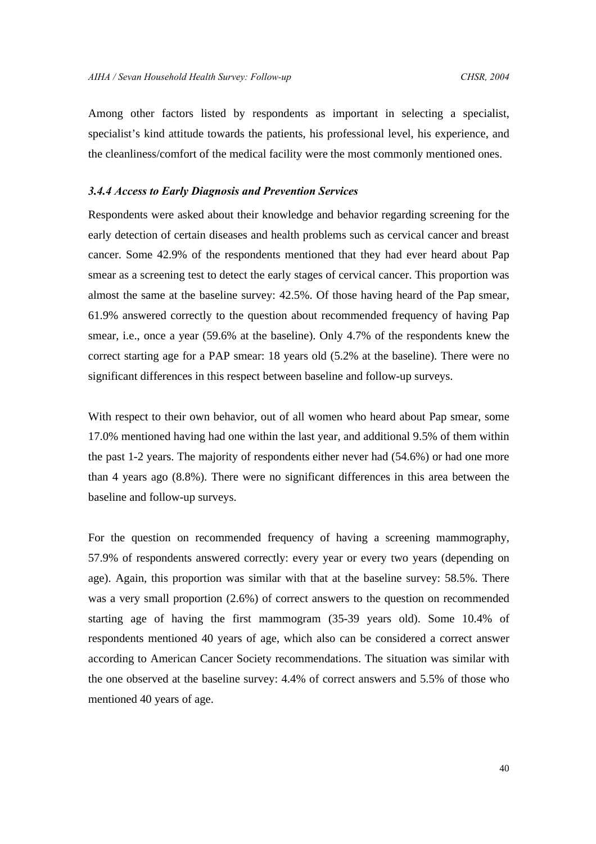Among other factors listed by respondents as important in selecting a specialist, specialist's kind attitude towards the patients, his professional level, his experience, and the cleanliness/comfort of the medical facility were the most commonly mentioned ones.

# *3.4.4 Access to Early Diagnosis and Prevention Services*

Respondents were asked about their knowledge and behavior regarding screening for the early detection of certain diseases and health problems such as cervical cancer and breast cancer. Some 42.9% of the respondents mentioned that they had ever heard about Pap smear as a screening test to detect the early stages of cervical cancer. This proportion was almost the same at the baseline survey: 42.5%. Of those having heard of the Pap smear, 61.9% answered correctly to the question about recommended frequency of having Pap smear, i.e., once a year (59.6% at the baseline). Only 4.7% of the respondents knew the correct starting age for a PAP smear: 18 years old (5.2% at the baseline). There were no significant differences in this respect between baseline and follow-up surveys.

With respect to their own behavior, out of all women who heard about Pap smear, some 17.0% mentioned having had one within the last year, and additional 9.5% of them within the past 1-2 years. The majority of respondents either never had (54.6%) or had one more than 4 years ago (8.8%). There were no significant differences in this area between the baseline and follow-up surveys.

For the question on recommended frequency of having a screening mammography, 57.9% of respondents answered correctly: every year or every two years (depending on age). Again, this proportion was similar with that at the baseline survey: 58.5%. There was a very small proportion (2.6%) of correct answers to the question on recommended starting age of having the first mammogram (35-39 years old). Some 10.4% of respondents mentioned 40 years of age, which also can be considered a correct answer according to American Cancer Society recommendations. The situation was similar with the one observed at the baseline survey: 4.4% of correct answers and 5.5% of those who mentioned 40 years of age.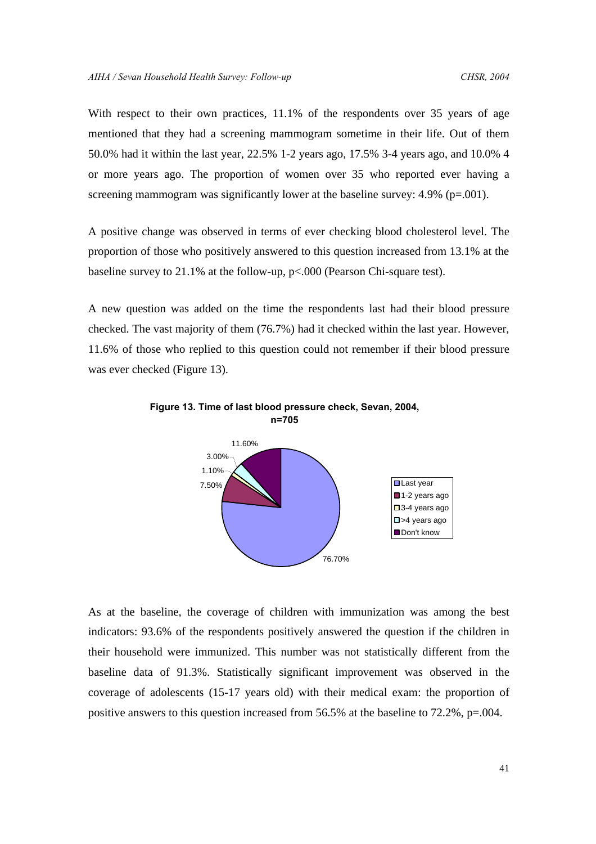With respect to their own practices, 11.1% of the respondents over 35 years of age mentioned that they had a screening mammogram sometime in their life. Out of them 50.0% had it within the last year, 22.5% 1-2 years ago, 17.5% 3-4 years ago, and 10.0% 4 or more years ago. The proportion of women over 35 who reported ever having a screening mammogram was significantly lower at the baseline survey: 4.9% (p=.001).

A positive change was observed in terms of ever checking blood cholesterol level. The proportion of those who positively answered to this question increased from 13.1% at the baseline survey to 21.1% at the follow-up, p<.000 (Pearson Chi-square test).

A new question was added on the time the respondents last had their blood pressure checked. The vast majority of them (76.7%) had it checked within the last year. However, 11.6% of those who replied to this question could not remember if their blood pressure was ever checked (Figure 13).





As at the baseline, the coverage of children with immunization was among the best indicators: 93.6% of the respondents positively answered the question if the children in their household were immunized. This number was not statistically different from the baseline data of 91.3%. Statistically significant improvement was observed in the coverage of adolescents (15-17 years old) with their medical exam: the proportion of positive answers to this question increased from 56.5% at the baseline to 72.2%, p=.004.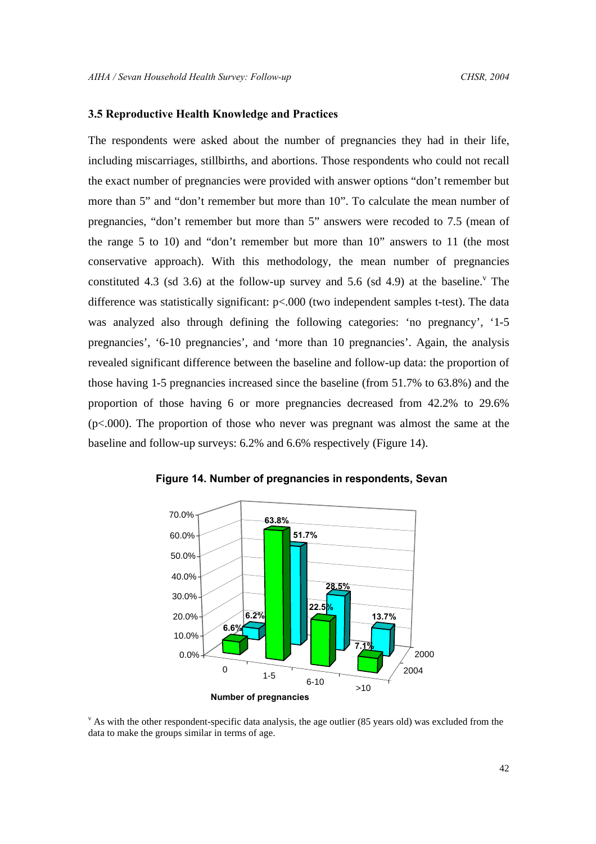# **3.5 Reproductive Health Knowledge and Practices**

The respondents were asked about the number of pregnancies they had in their life, including miscarriages, stillbirths, and abortions. Those respondents who could not recall the exact number of pregnancies were provided with answer options "don't remember but more than 5" and "don't remember but more than 10". To calculate the mean number of pregnancies, "don't remember but more than 5" answers were recoded to 7.5 (mean of the range 5 to 10) and "don't remember but more than 10" answers to 11 (the most conservative approach). With this methodology, the mean number of pregnancies constituted 4.3 (sd 3.6) at the follow-up survey and 5.6 (sd 4.9) at the baseline.<sup> $v$ </sup> The difference was statistically significant: p<.000 (two independent samples t-test). The data was analyzed also through defining the following categories: 'no pregnancy', '1-5 pregnancies', '6-10 pregnancies', and 'more than 10 pregnancies'. Again, the analysis revealed significant difference between the baseline and follow-up data: the proportion of those having 1-5 pregnancies increased since the baseline (from 51.7% to 63.8%) and the proportion of those having 6 or more pregnancies decreased from 42.2% to 29.6%  $(p<.000)$ . The proportion of those who never was pregnant was almost the same at the baseline and follow-up surveys: 6.2% and 6.6% respectively (Figure 14).





<sup>v</sup> As with the other respondent-specific data analysis, the age outlier (85 years old) was excluded from the data to make the groups similar in terms of age.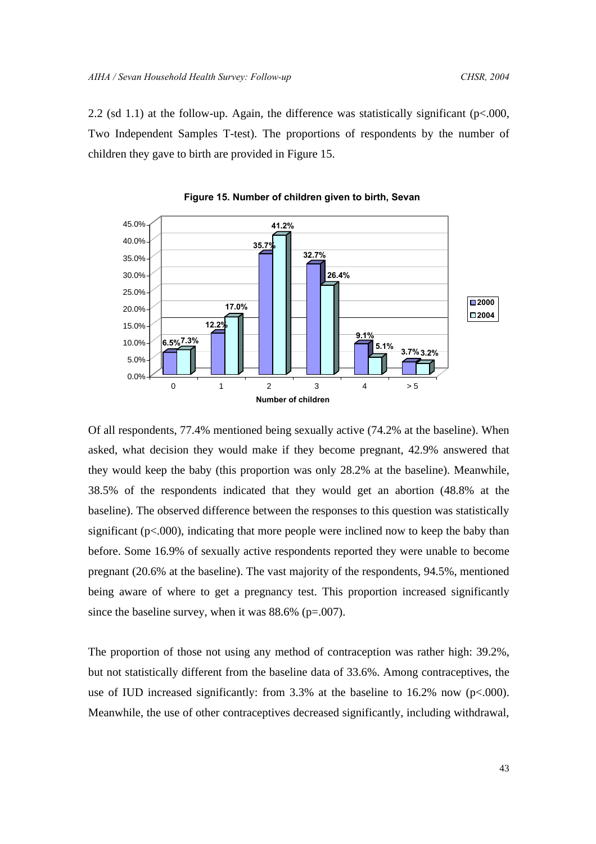2.2 (sd 1.1) at the follow-up. Again, the difference was statistically significant ( $p<0.000$ , Two Independent Samples T-test). The proportions of respondents by the number of children they gave to birth are provided in Figure 15.





Of all respondents, 77.4% mentioned being sexually active (74.2% at the baseline). When asked, what decision they would make if they become pregnant, 42.9% answered that they would keep the baby (this proportion was only 28.2% at the baseline). Meanwhile, 38.5% of the respondents indicated that they would get an abortion (48.8% at the baseline). The observed difference between the responses to this question was statistically significant ( $p<0.000$ ), indicating that more people were inclined now to keep the baby than before. Some 16.9% of sexually active respondents reported they were unable to become pregnant (20.6% at the baseline). The vast majority of the respondents, 94.5%, mentioned being aware of where to get a pregnancy test. This proportion increased significantly since the baseline survey, when it was  $88.6\%$  (p=.007).

The proportion of those not using any method of contraception was rather high: 39.2%, but not statistically different from the baseline data of 33.6%. Among contraceptives, the use of IUD increased significantly: from  $3.3\%$  at the baseline to  $16.2\%$  now (p<.000). Meanwhile, the use of other contraceptives decreased significantly, including withdrawal,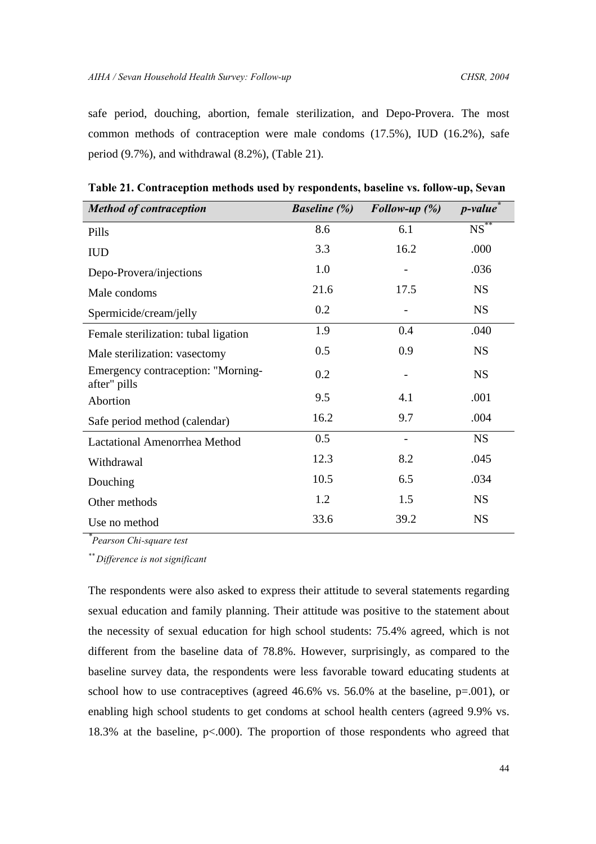safe period, douching, abortion, female sterilization, and Depo-Provera. The most common methods of contraception were male condoms (17.5%), IUD (16.2%), safe period (9.7%), and withdrawal (8.2%), (Table 21).

| <b>Method of contraception</b>                     | <b>Baseline</b> (%) | Follow-up $(\%)$ | <i>p</i> -value      |
|----------------------------------------------------|---------------------|------------------|----------------------|
| Pills                                              | 8.6                 | 6.1              | $NS^{\overline{**}}$ |
| <b>IUD</b>                                         | 3.3                 | 16.2             | .000                 |
| Depo-Provera/injections                            | 1.0                 |                  | .036                 |
| Male condoms                                       | 21.6                | 17.5             | <b>NS</b>            |
| Spermicide/cream/jelly                             | 0.2                 |                  | <b>NS</b>            |
| Female sterilization: tubal ligation               | 1.9                 | 0.4              | .040                 |
| Male sterilization: vasectomy                      | 0.5                 | 0.9              | <b>NS</b>            |
| Emergency contraception: "Morning-<br>after" pills | 0.2                 |                  | <b>NS</b>            |
| Abortion                                           | 9.5                 | 4.1              | .001                 |
| Safe period method (calendar)                      | 16.2                | 9.7              | .004                 |
| <b>Lactational Amenorrhea Method</b>               | 0.5                 |                  | <b>NS</b>            |
| Withdrawal                                         | 12.3                | 8.2              | .045                 |
| Douching                                           | 10.5                | 6.5              | .034                 |
| Other methods                                      | 1.2                 | 1.5              | <b>NS</b>            |
| Use no method                                      | 33.6                | 39.2             | <b>NS</b>            |

**Table 21. Contraception methods used by respondents, baseline vs. follow-up, Sevan**

*\* Pearson Chi-square test*

*\*\* Difference is not significant*

The respondents were also asked to express their attitude to several statements regarding sexual education and family planning. Their attitude was positive to the statement about the necessity of sexual education for high school students: 75.4% agreed, which is not different from the baseline data of 78.8%. However, surprisingly, as compared to the baseline survey data, the respondents were less favorable toward educating students at school how to use contraceptives (agreed 46.6% vs. 56.0% at the baseline, p=.001), or enabling high school students to get condoms at school health centers (agreed 9.9% vs. 18.3% at the baseline,  $p<.000$ ). The proportion of those respondents who agreed that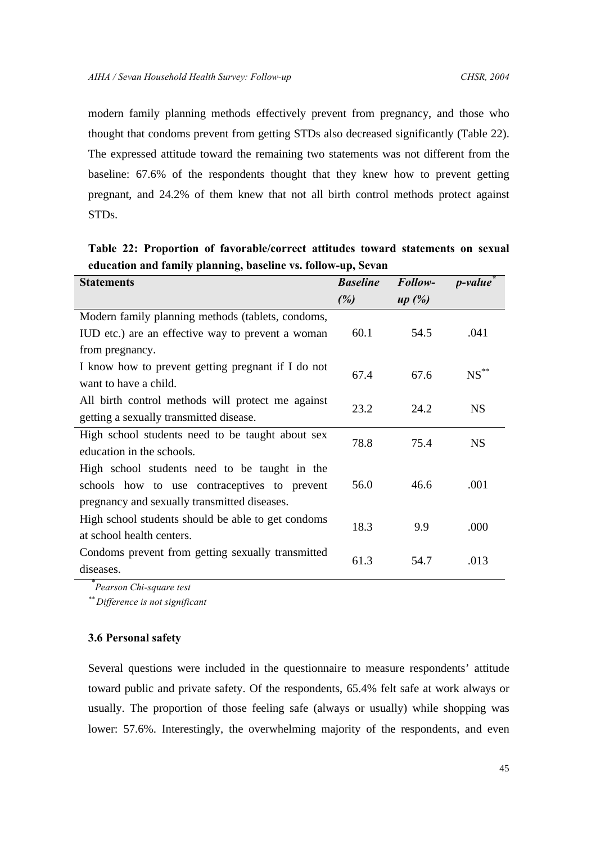modern family planning methods effectively prevent from pregnancy, and those who thought that condoms prevent from getting STDs also decreased significantly (Table 22). The expressed attitude toward the remaining two statements was not different from the baseline: 67.6% of the respondents thought that they knew how to prevent getting pregnant, and 24.2% of them knew that not all birth control methods protect against STDs.

**Table 22: Proportion of favorable/correct attitudes toward statements on sexual education and family planning, baseline vs. follow-up, Sevan**

| <b>Statements</b>                                  | <b>Baseline</b> | Follow- | <i>p</i> -value    |  |
|----------------------------------------------------|-----------------|---------|--------------------|--|
|                                                    | (%)             | up(%)   |                    |  |
| Modern family planning methods (tablets, condoms,  |                 |         |                    |  |
| IUD etc.) are an effective way to prevent a woman  | 60.1            | 54.5    | .041               |  |
| from pregnancy.                                    |                 |         |                    |  |
| I know how to prevent getting pregnant if I do not | 67.4            | 67.6    | $\mathrm{NS}^{**}$ |  |
| want to have a child.                              |                 |         |                    |  |
| All birth control methods will protect me against  | 23.2            | 24.2    | <b>NS</b>          |  |
| getting a sexually transmitted disease.            |                 |         |                    |  |
| High school students need to be taught about sex   | 78.8            | 75.4    | <b>NS</b>          |  |
| education in the schools.                          |                 |         |                    |  |
| High school students need to be taught in the      |                 |         |                    |  |
| schools how to use contraceptives to prevent       | 56.0            | 46.6    | .001               |  |
| pregnancy and sexually transmitted diseases.       |                 |         |                    |  |
| High school students should be able to get condoms | 18.3            | 9.9     | .000               |  |
| at school health centers.                          |                 |         |                    |  |
| Condoms prevent from getting sexually transmitted  |                 |         | .013               |  |
| diseases.                                          | 61.3            | 54.7    |                    |  |

*\* Pearson Chi-square test*

*\*\* Difference is not significant*

# **3.6 Personal safety**

Several questions were included in the questionnaire to measure respondents' attitude toward public and private safety. Of the respondents, 65.4% felt safe at work always or usually. The proportion of those feeling safe (always or usually) while shopping was lower: 57.6%. Interestingly, the overwhelming majority of the respondents, and even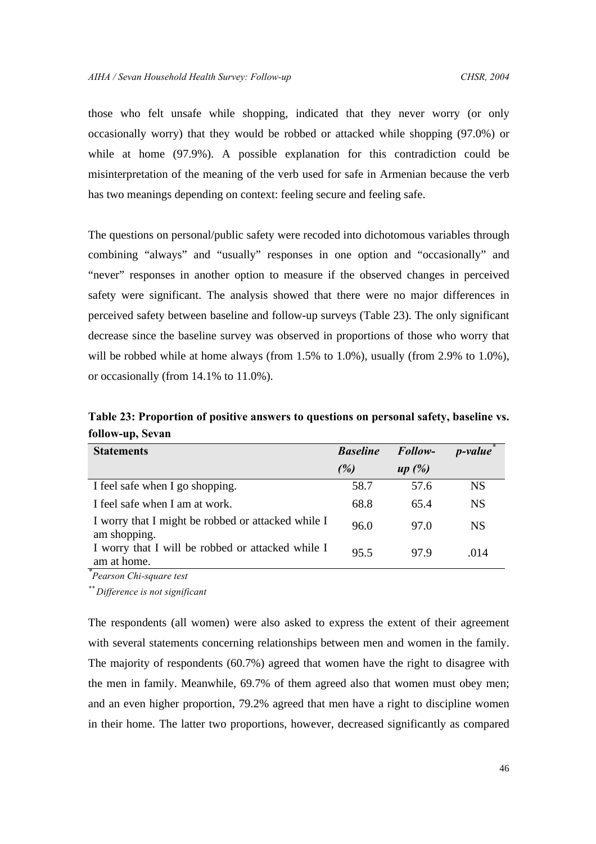those who felt unsafe while shopping, indicated that they never worry (or only occasionally worry) that they would be robbed or attacked while shopping (97.0%) or while at home (97.9%). A possible explanation for this contradiction could be misinterpretation of the meaning of the verb used for safe in Armenian because the verb has two meanings depending on context: feeling secure and feeling safe.

The questions on personal/public safety were recoded into dichotomous variables through combining "always" and "usually" responses in one option and "occasionally" and "never" responses in another option to measure if the observed changes in perceived safety were significant. The analysis showed that there were no major differences in perceived safety between baseline and follow-up surveys (Table 23). The only significant decrease since the baseline survey was observed in proportions of those who worry that will be robbed while at home always (from 1.5% to 1.0%), usually (from 2.9% to 1.0%), or occasionally (from 14.1% to 11.0%).

**Table 23: Proportion of positive answers to questions on personal safety, baseline vs. follow-up, Sevan**

| <b>Statements</b>                                                  | <b>Baseline</b> | Follow- | <i>p</i> -value |
|--------------------------------------------------------------------|-----------------|---------|-----------------|
|                                                                    | (%)             | up(%)   |                 |
| I feel safe when I go shopping.                                    | 58.7            | 57.6    | <b>NS</b>       |
| I feel safe when I am at work.                                     | 68.8            | 65.4    | <b>NS</b>       |
| I worry that I might be robbed or attacked while I<br>am shopping. | 96.0            | 97.0    | <b>NS</b>       |
| I worry that I will be robbed or attacked while I<br>am at home.   | 95.5            | 97.9    | -014            |

*\* Pearson Chi-square test*

*\*\* Difference is not significant*

The respondents (all women) were also asked to express the extent of their agreement with several statements concerning relationships between men and women in the family. The majority of respondents (60.7%) agreed that women have the right to disagree with the men in family. Meanwhile, 69.7% of them agreed also that women must obey men; and an even higher proportion, 79.2% agreed that men have a right to discipline women in their home. The latter two proportions, however, decreased significantly as compared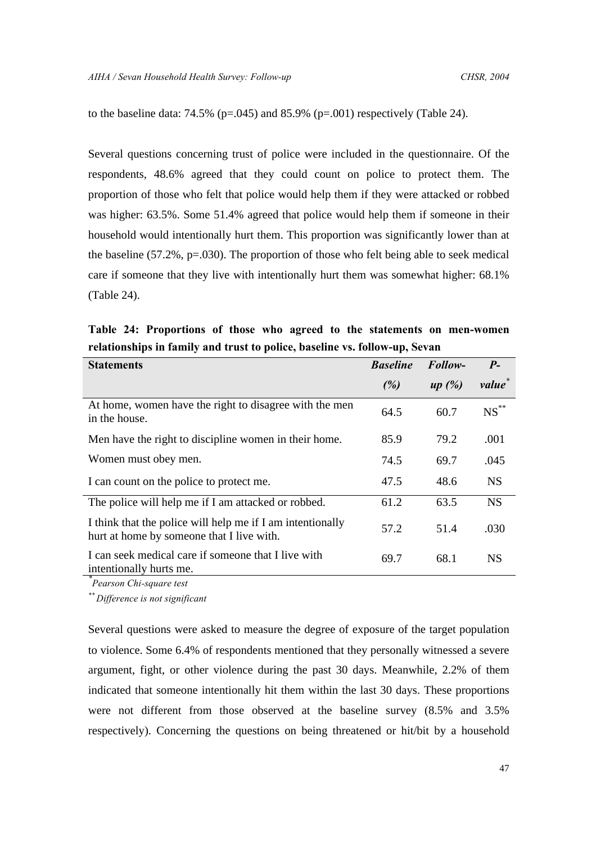to the baseline data:  $74.5\%$  (p=.045) and 85.9% (p=.001) respectively (Table 24).

Several questions concerning trust of police were included in the questionnaire. Of the respondents, 48.6% agreed that they could count on police to protect them. The proportion of those who felt that police would help them if they were attacked or robbed was higher: 63.5%. Some 51.4% agreed that police would help them if someone in their household would intentionally hurt them. This proportion was significantly lower than at the baseline (57.2%, p=.030). The proportion of those who felt being able to seek medical care if someone that they live with intentionally hurt them was somewhat higher: 68.1% (Table 24).

**Table 24: Proportions of those who agreed to the statements on men-women relationships in family and trust to police, baseline vs. follow-up, Sevan**

| <b>Statements</b>                                                                                        | <b>Baseline</b> | Follow- | $P-$      |
|----------------------------------------------------------------------------------------------------------|-----------------|---------|-----------|
|                                                                                                          | (%)             | up(%)   | value     |
| At home, women have the right to disagree with the men<br>in the house.                                  | 64.5            | 60.7    | $NS$ **   |
| Men have the right to discipline women in their home.                                                    | 85.9            | 79.2    | .001      |
| Women must obey men.                                                                                     | 74.5            | 69.7    | .045      |
| I can count on the police to protect me.                                                                 | 47.5            | 48.6    | <b>NS</b> |
| The police will help me if I am attacked or robbed.                                                      | 61.2            | 63.5    | <b>NS</b> |
| I think that the police will help me if I am intentionally<br>hurt at home by some one that I live with. | 57.2            | 51.4    | .030      |
| I can seek medical care if someone that I live with<br>intentionally hurts me.                           | 69.7            | 68.1    | <b>NS</b> |

*\* Pearson Chi-square test*

*\*\* Difference is not significant*

Several questions were asked to measure the degree of exposure of the target population to violence. Some 6.4% of respondents mentioned that they personally witnessed a severe argument, fight, or other violence during the past 30 days. Meanwhile, 2.2% of them indicated that someone intentionally hit them within the last 30 days. These proportions were not different from those observed at the baseline survey (8.5% and 3.5% respectively). Concerning the questions on being threatened or hit/bit by a household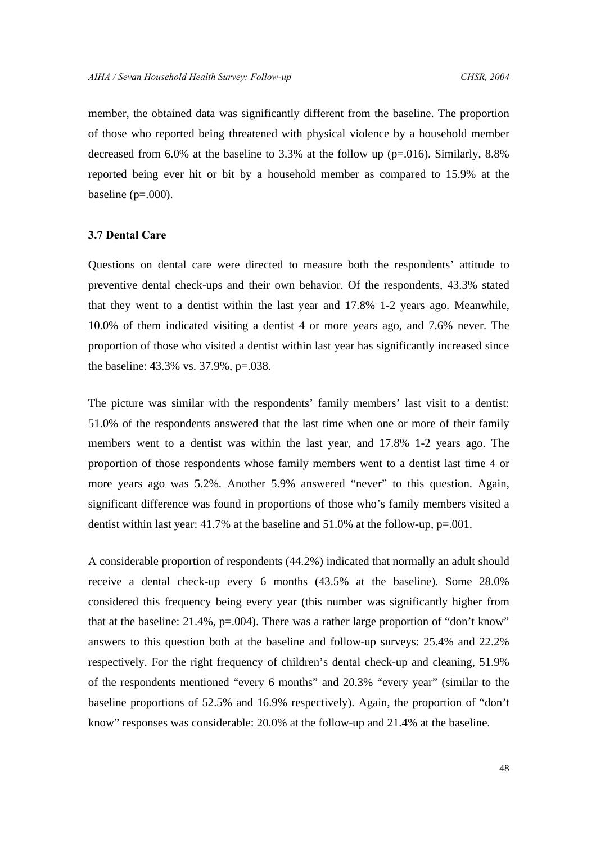member, the obtained data was significantly different from the baseline. The proportion of those who reported being threatened with physical violence by a household member decreased from 6.0% at the baseline to 3.3% at the follow up (p=.016). Similarly, 8.8% reported being ever hit or bit by a household member as compared to 15.9% at the baseline  $(p=.000)$ .

# **3.7 Dental Care**

Questions on dental care were directed to measure both the respondents' attitude to preventive dental check-ups and their own behavior. Of the respondents, 43.3% stated that they went to a dentist within the last year and 17.8% 1-2 years ago. Meanwhile, 10.0% of them indicated visiting a dentist 4 or more years ago, and 7.6% never. The proportion of those who visited a dentist within last year has significantly increased since the baseline: 43.3% vs. 37.9%, p=.038.

The picture was similar with the respondents' family members' last visit to a dentist: 51.0% of the respondents answered that the last time when one or more of their family members went to a dentist was within the last year, and 17.8% 1-2 years ago. The proportion of those respondents whose family members went to a dentist last time 4 or more years ago was 5.2%. Another 5.9% answered "never" to this question. Again, significant difference was found in proportions of those who's family members visited a dentist within last year: 41.7% at the baseline and 51.0% at the follow-up, p=.001.

A considerable proportion of respondents (44.2%) indicated that normally an adult should receive a dental check-up every 6 months (43.5% at the baseline). Some 28.0% considered this frequency being every year (this number was significantly higher from that at the baseline: 21.4%, p=.004). There was a rather large proportion of "don't know" answers to this question both at the baseline and follow-up surveys: 25.4% and 22.2% respectively. For the right frequency of children's dental check-up and cleaning, 51.9% of the respondents mentioned "every 6 months" and 20.3% "every year" (similar to the baseline proportions of 52.5% and 16.9% respectively). Again, the proportion of "don't know" responses was considerable: 20.0% at the follow-up and 21.4% at the baseline.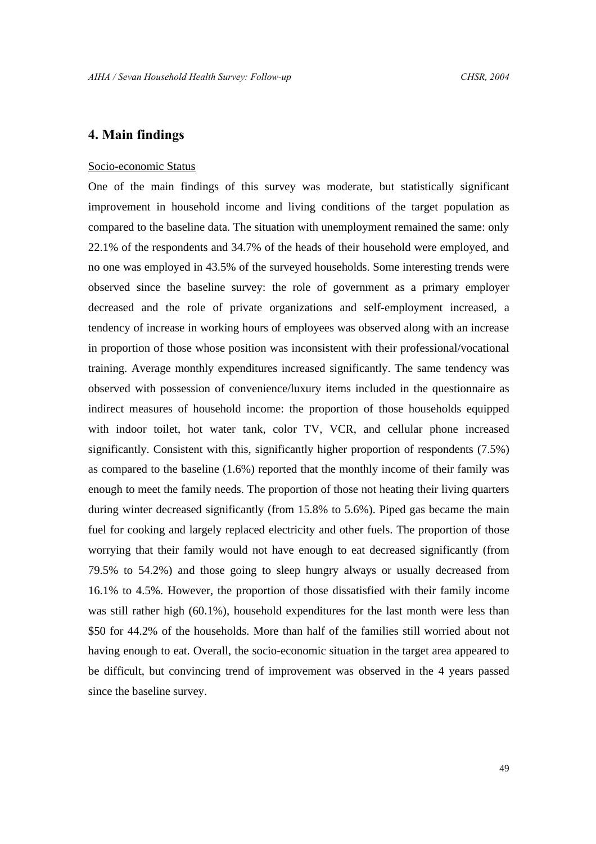# **4. Main findings**

#### Socio-economic Status

One of the main findings of this survey was moderate, but statistically significant improvement in household income and living conditions of the target population as compared to the baseline data. The situation with unemployment remained the same: only 22.1% of the respondents and 34.7% of the heads of their household were employed, and no one was employed in 43.5% of the surveyed households. Some interesting trends were observed since the baseline survey: the role of government as a primary employer decreased and the role of private organizations and self-employment increased, a tendency of increase in working hours of employees was observed along with an increase in proportion of those whose position was inconsistent with their professional/vocational training. Average monthly expenditures increased significantly. The same tendency was observed with possession of convenience/luxury items included in the questionnaire as indirect measures of household income: the proportion of those households equipped with indoor toilet, hot water tank, color TV, VCR, and cellular phone increased significantly. Consistent with this, significantly higher proportion of respondents (7.5%) as compared to the baseline (1.6%) reported that the monthly income of their family was enough to meet the family needs. The proportion of those not heating their living quarters during winter decreased significantly (from 15.8% to 5.6%). Piped gas became the main fuel for cooking and largely replaced electricity and other fuels. The proportion of those worrying that their family would not have enough to eat decreased significantly (from 79.5% to 54.2%) and those going to sleep hungry always or usually decreased from 16.1% to 4.5%. However, the proportion of those dissatisfied with their family income was still rather high (60.1%), household expenditures for the last month were less than \$50 for 44.2% of the households. More than half of the families still worried about not having enough to eat. Overall, the socio-economic situation in the target area appeared to be difficult, but convincing trend of improvement was observed in the 4 years passed since the baseline survey.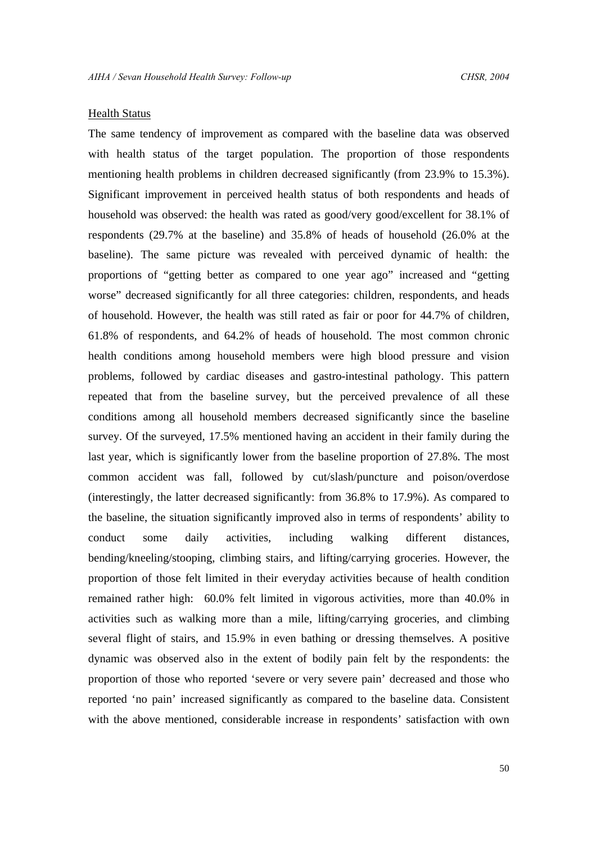#### Health Status

The same tendency of improvement as compared with the baseline data was observed with health status of the target population. The proportion of those respondents mentioning health problems in children decreased significantly (from 23.9% to 15.3%). Significant improvement in perceived health status of both respondents and heads of household was observed: the health was rated as good/very good/excellent for 38.1% of respondents (29.7% at the baseline) and 35.8% of heads of household (26.0% at the baseline). The same picture was revealed with perceived dynamic of health: the proportions of "getting better as compared to one year ago" increased and "getting worse" decreased significantly for all three categories: children, respondents, and heads of household. However, the health was still rated as fair or poor for 44.7% of children, 61.8% of respondents, and 64.2% of heads of household. The most common chronic health conditions among household members were high blood pressure and vision problems, followed by cardiac diseases and gastro-intestinal pathology. This pattern repeated that from the baseline survey, but the perceived prevalence of all these conditions among all household members decreased significantly since the baseline survey. Of the surveyed, 17.5% mentioned having an accident in their family during the last year, which is significantly lower from the baseline proportion of 27.8%. The most common accident was fall, followed by cut/slash/puncture and poison/overdose (interestingly, the latter decreased significantly: from 36.8% to 17.9%). As compared to the baseline, the situation significantly improved also in terms of respondents' ability to conduct some daily activities, including walking different distances, bending/kneeling/stooping, climbing stairs, and lifting/carrying groceries. However, the proportion of those felt limited in their everyday activities because of health condition remained rather high: 60.0% felt limited in vigorous activities, more than 40.0% in activities such as walking more than a mile, lifting/carrying groceries, and climbing several flight of stairs, and 15.9% in even bathing or dressing themselves. A positive dynamic was observed also in the extent of bodily pain felt by the respondents: the proportion of those who reported 'severe or very severe pain' decreased and those who reported 'no pain' increased significantly as compared to the baseline data. Consistent with the above mentioned, considerable increase in respondents' satisfaction with own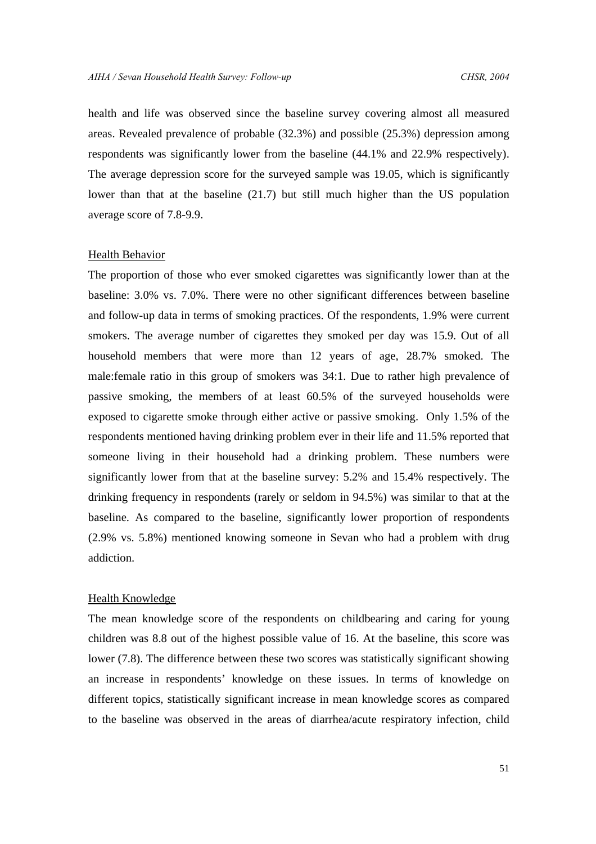health and life was observed since the baseline survey covering almost all measured areas. Revealed prevalence of probable (32.3%) and possible (25.3%) depression among respondents was significantly lower from the baseline (44.1% and 22.9% respectively). The average depression score for the surveyed sample was 19.05, which is significantly lower than that at the baseline (21.7) but still much higher than the US population average score of 7.8-9.9.

#### Health Behavior

The proportion of those who ever smoked cigarettes was significantly lower than at the baseline: 3.0% vs. 7.0%. There were no other significant differences between baseline and follow-up data in terms of smoking practices. Of the respondents, 1.9% were current smokers. The average number of cigarettes they smoked per day was 15.9. Out of all household members that were more than 12 years of age, 28.7% smoked. The male:female ratio in this group of smokers was 34:1. Due to rather high prevalence of passive smoking, the members of at least 60.5% of the surveyed households were exposed to cigarette smoke through either active or passive smoking. Only 1.5% of the respondents mentioned having drinking problem ever in their life and 11.5% reported that someone living in their household had a drinking problem. These numbers were significantly lower from that at the baseline survey: 5.2% and 15.4% respectively. The drinking frequency in respondents (rarely or seldom in 94.5%) was similar to that at the baseline. As compared to the baseline, significantly lower proportion of respondents (2.9% vs. 5.8%) mentioned knowing someone in Sevan who had a problem with drug addiction.

# Health Knowledge

The mean knowledge score of the respondents on childbearing and caring for young children was 8.8 out of the highest possible value of 16. At the baseline, this score was lower (7.8). The difference between these two scores was statistically significant showing an increase in respondents' knowledge on these issues. In terms of knowledge on different topics, statistically significant increase in mean knowledge scores as compared to the baseline was observed in the areas of diarrhea/acute respiratory infection, child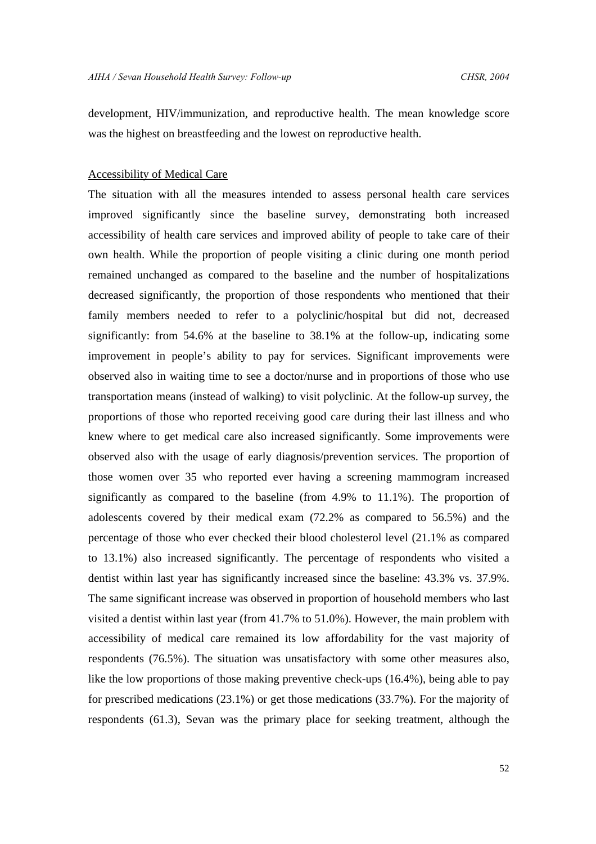development, HIV/immunization, and reproductive health. The mean knowledge score was the highest on breastfeeding and the lowest on reproductive health.

#### Accessibility of Medical Care

The situation with all the measures intended to assess personal health care services improved significantly since the baseline survey, demonstrating both increased accessibility of health care services and improved ability of people to take care of their own health. While the proportion of people visiting a clinic during one month period remained unchanged as compared to the baseline and the number of hospitalizations decreased significantly, the proportion of those respondents who mentioned that their family members needed to refer to a polyclinic/hospital but did not, decreased significantly: from 54.6% at the baseline to 38.1% at the follow-up, indicating some improvement in people's ability to pay for services. Significant improvements were observed also in waiting time to see a doctor/nurse and in proportions of those who use transportation means (instead of walking) to visit polyclinic. At the follow-up survey, the proportions of those who reported receiving good care during their last illness and who knew where to get medical care also increased significantly. Some improvements were observed also with the usage of early diagnosis/prevention services. The proportion of those women over 35 who reported ever having a screening mammogram increased significantly as compared to the baseline (from 4.9% to 11.1%). The proportion of adolescents covered by their medical exam (72.2% as compared to 56.5%) and the percentage of those who ever checked their blood cholesterol level (21.1% as compared to 13.1%) also increased significantly. The percentage of respondents who visited a dentist within last year has significantly increased since the baseline: 43.3% vs. 37.9%. The same significant increase was observed in proportion of household members who last visited a dentist within last year (from 41.7% to 51.0%). However, the main problem with accessibility of medical care remained its low affordability for the vast majority of respondents (76.5%). The situation was unsatisfactory with some other measures also, like the low proportions of those making preventive check-ups (16.4%), being able to pay for prescribed medications (23.1%) or get those medications (33.7%). For the majority of respondents (61.3), Sevan was the primary place for seeking treatment, although the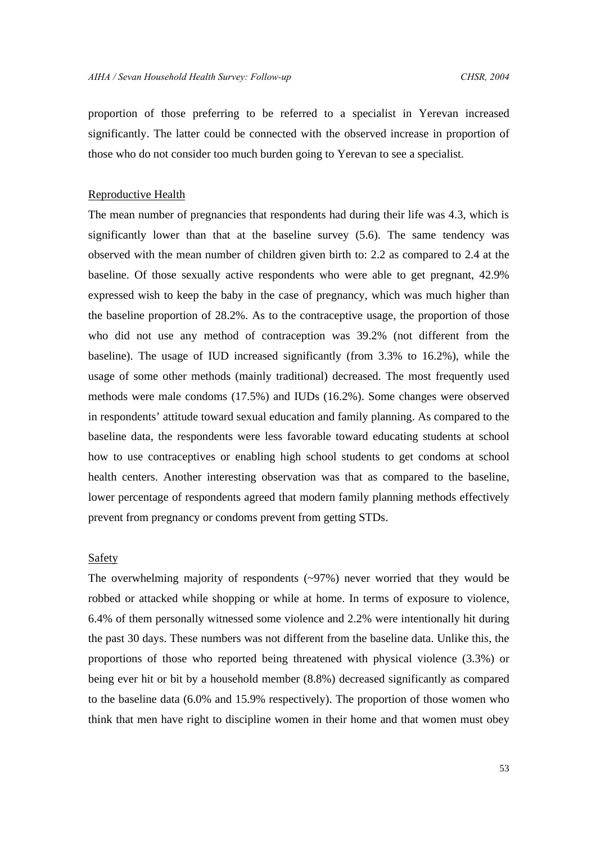proportion of those preferring to be referred to a specialist in Yerevan increased significantly. The latter could be connected with the observed increase in proportion of those who do not consider too much burden going to Yerevan to see a specialist.

# Reproductive Health

The mean number of pregnancies that respondents had during their life was 4.3, which is significantly lower than that at the baseline survey (5.6). The same tendency was observed with the mean number of children given birth to: 2.2 as compared to 2.4 at the baseline. Of those sexually active respondents who were able to get pregnant, 42.9% expressed wish to keep the baby in the case of pregnancy, which was much higher than the baseline proportion of 28.2%. As to the contraceptive usage, the proportion of those who did not use any method of contraception was 39.2% (not different from the baseline). The usage of IUD increased significantly (from 3.3% to 16.2%), while the usage of some other methods (mainly traditional) decreased. The most frequently used methods were male condoms (17.5%) and IUDs (16.2%). Some changes were observed in respondents' attitude toward sexual education and family planning. As compared to the baseline data, the respondents were less favorable toward educating students at school how to use contraceptives or enabling high school students to get condoms at school health centers. Another interesting observation was that as compared to the baseline, lower percentage of respondents agreed that modern family planning methods effectively prevent from pregnancy or condoms prevent from getting STDs.

# Safety

The overwhelming majority of respondents (~97%) never worried that they would be robbed or attacked while shopping or while at home. In terms of exposure to violence, 6.4% of them personally witnessed some violence and 2.2% were intentionally hit during the past 30 days. These numbers was not different from the baseline data. Unlike this, the proportions of those who reported being threatened with physical violence (3.3%) or being ever hit or bit by a household member (8.8%) decreased significantly as compared to the baseline data (6.0% and 15.9% respectively). The proportion of those women who think that men have right to discipline women in their home and that women must obey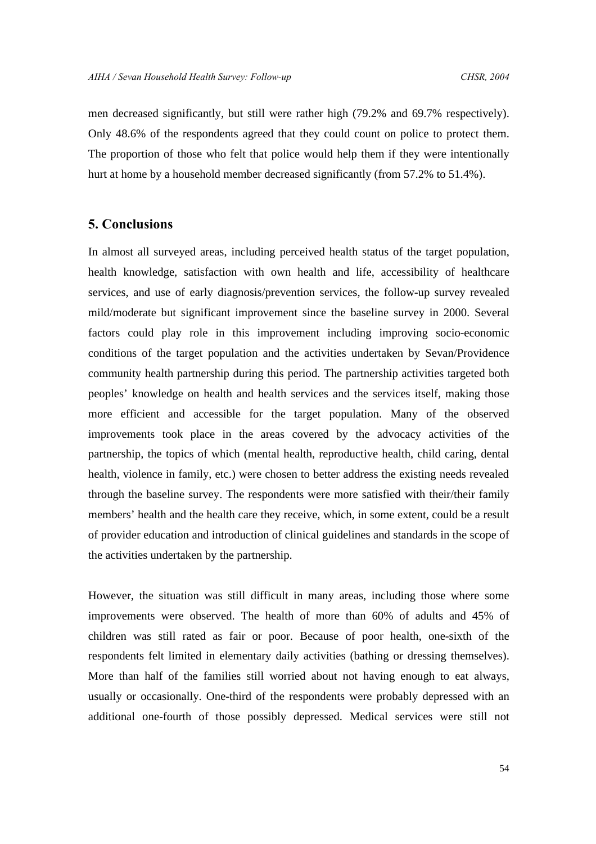men decreased significantly, but still were rather high (79.2% and 69.7% respectively). Only 48.6% of the respondents agreed that they could count on police to protect them. The proportion of those who felt that police would help them if they were intentionally hurt at home by a household member decreased significantly (from 57.2% to 51.4%).

# **5. Conclusions**

In almost all surveyed areas, including perceived health status of the target population, health knowledge, satisfaction with own health and life, accessibility of healthcare services, and use of early diagnosis/prevention services, the follow-up survey revealed mild/moderate but significant improvement since the baseline survey in 2000. Several factors could play role in this improvement including improving socio-economic conditions of the target population and the activities undertaken by Sevan/Providence community health partnership during this period. The partnership activities targeted both peoples' knowledge on health and health services and the services itself, making those more efficient and accessible for the target population. Many of the observed improvements took place in the areas covered by the advocacy activities of the partnership, the topics of which (mental health, reproductive health, child caring, dental health, violence in family, etc.) were chosen to better address the existing needs revealed through the baseline survey. The respondents were more satisfied with their/their family members' health and the health care they receive, which, in some extent, could be a result of provider education and introduction of clinical guidelines and standards in the scope of the activities undertaken by the partnership.

However, the situation was still difficult in many areas, including those where some improvements were observed. The health of more than 60% of adults and 45% of children was still rated as fair or poor. Because of poor health, one-sixth of the respondents felt limited in elementary daily activities (bathing or dressing themselves). More than half of the families still worried about not having enough to eat always, usually or occasionally. One-third of the respondents were probably depressed with an additional one-fourth of those possibly depressed. Medical services were still not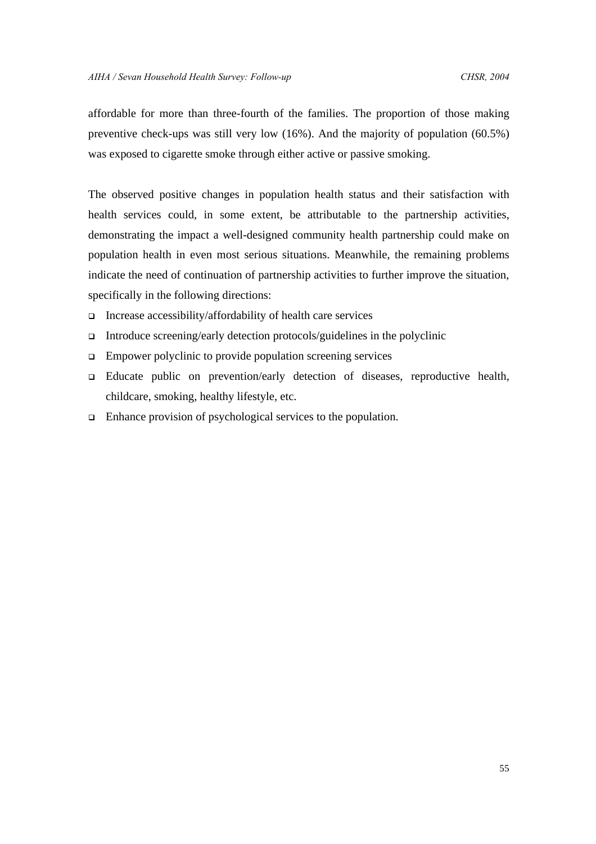affordable for more than three-fourth of the families. The proportion of those making preventive check-ups was still very low (16%). And the majority of population (60.5%) was exposed to cigarette smoke through either active or passive smoking.

The observed positive changes in population health status and their satisfaction with health services could, in some extent, be attributable to the partnership activities, demonstrating the impact a well-designed community health partnership could make on population health in even most serious situations. Meanwhile, the remaining problems indicate the need of continuation of partnership activities to further improve the situation, specifically in the following directions:

- $\Box$  Increase accessibility/affordability of health care services
- $\Box$  Introduce screening/early detection protocols/guidelines in the polyclinic
- $\Box$  Empower polyclinic to provide population screening services
- <sup>q</sup> Educate public on prevention/early detection of diseases, reproductive health, childcare, smoking, healthy lifestyle, etc.
- $\Box$  Enhance provision of psychological services to the population.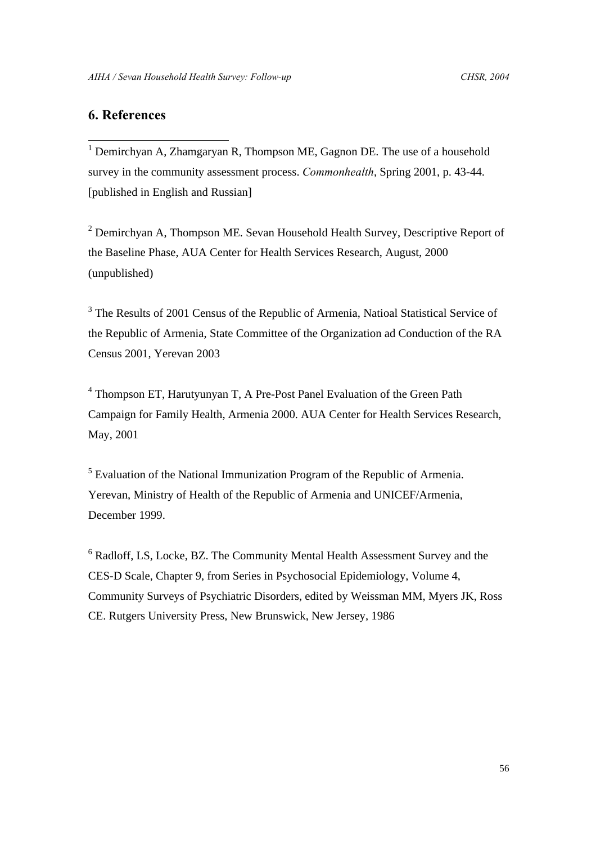# **6. References**

1

<sup>1</sup> Demirchyan A, Zhamgaryan R, Thompson ME, Gagnon DE. The use of a household survey in the community assessment process. *Commonhealth*, Spring 2001, p. 43-44. [published in English and Russian]

 $2$  Demirchyan A, Thompson ME. Sevan Household Health Survey, Descriptive Report of the Baseline Phase, AUA Center for Health Services Research, August, 2000 (unpublished)

<sup>3</sup> The Results of 2001 Census of the Republic of Armenia, Natioal Statistical Service of the Republic of Armenia, State Committee of the Organization ad Conduction of the RA Census 2001, Yerevan 2003

<sup>4</sup> Thompson ET, Harutyunyan T, A Pre-Post Panel Evaluation of the Green Path Campaign for Family Health, Armenia 2000. AUA Center for Health Services Research, May, 2001

<sup>5</sup> Evaluation of the National Immunization Program of the Republic of Armenia. Yerevan, Ministry of Health of the Republic of Armenia and UNICEF/Armenia, December 1999.

<sup>6</sup> Radloff, LS, Locke, BZ. The Community Mental Health Assessment Survey and the CES-D Scale, Chapter 9, from Series in Psychosocial Epidemiology, Volume 4, Community Surveys of Psychiatric Disorders, edited by Weissman MM, Myers JK, Ross CE. Rutgers University Press, New Brunswick, New Jersey, 1986